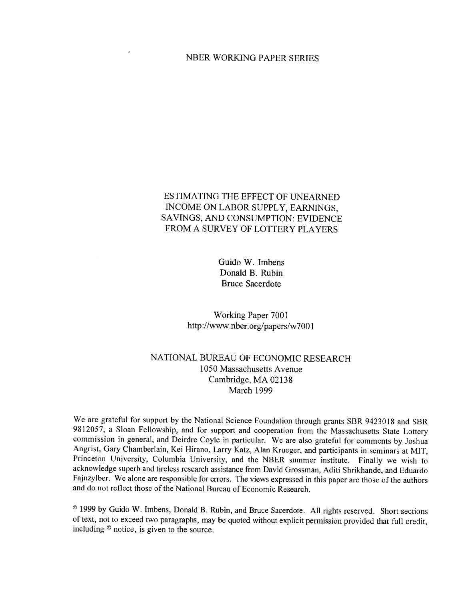#### NBER WORKING PAPER SERIES

# ESTIMATING THE EFFECT OF UNEARNED INCOME ON LABOR SUPPLY, EARNINGS, SAVINGS, AND CONSUMPTION: EVIDENCE FROM A SURVEY OF LOTTERY PLAYERS

Guido W. Imbens Donald B. Rubin Bruce Sacerdote

Working Paper 7001 http://www.nber.org/papers/w7001

# NATIONAL BUREAU OF ECONOMIC RESEARCH 1050 Massachusetts Avenue Cambridge, MA 02138 March 1999

We are grateful for support by the National Science Foundation through grants SBR 9423018 and SBR 9812057, a Sloan Fellowship, and for support and cooperation from the Massachusetts State Lottery commission in general, and Deirdre Coyle in particular. We are also grateful for comments by Joshua Angrist, Gary Chamberlain, Kei Hirano, Larry Katz, Alan Krueger, and participants in seminars at MIT, Princeton University, Columbia University, and the NBER summer institute. Finally we wish to acknowledge superb and tireless research assistance from David Grossman, Aditi Shrikhande, and Eduardo Fajnzylber. We alone are responsible for errors. The views expressed in this paper are those of the authors and do not reflect those of the National Bureau of Economic Research.

© <sup>1999</sup> by Guido W. Imbens, Donald B. Rubin, and Bruce Sacerdote. All rights reserved. Short sections of text, not to exceed two paragraphs, may be quoted without explicit permission provided that full credit, including © notice, is given to the source.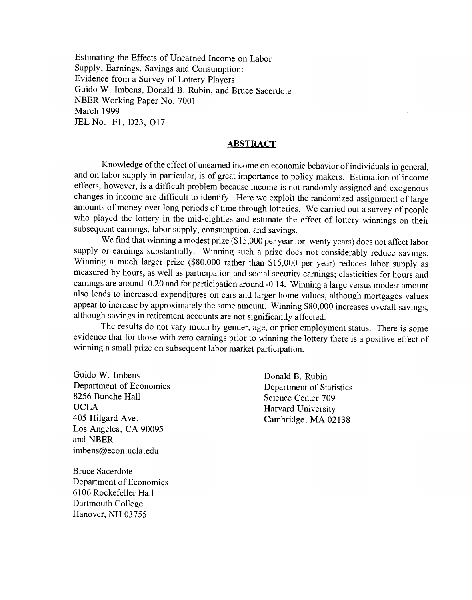Estimating the Effects of Unearned Income on Labor Supply, Earnings, Savings and Consumption: Evidence from a Survey of Lottery Players Guido W. Imbens, Donald B. Rubin, and Bruce Sacerdote NBER Working Paper No. 7001 March 1999 JELNo. Fl, D23, 017

# **ABSTRACT**

Knowledge of the effect of unearned income on economic behavior of individuals in general, and on labor supply in particular, is of great importance to policy makers. Estimation of income effects, however, is a difficult problem because income is not randomly assigned and exogenous changes in income are difficult to identify. Here we exploit the randomized assignment of large amounts of money over long periods of time through lotteries. We carried out a survey of people who played the lottery in the mid-eighties and estimate the effect of lottery winnings on their subsequent earnings, labor supply, consumption, and savings.

We find that winning a modest prize (\$15,000 per year for twenty years) does not affect labor supply or earnings substantially. Winning such a prize does not considerably reduce savings. Winning a much larger prize (\$80,000 rather than \$15,000 per year) reduces labor supply as measured by hours, as well as participation and social security earnings; elasticities for hours and earnings are around -0.20 and for participation around -0.14. Winning a large versus modest amount also leads to increased expenditures on cars and larger home values, although mortgages values appear to increase by approximately the same amount. Winning \$80,000 increases overall savings, although savings in retirement accounts are not significantly affected.

The results do not vary much by gender, age, or prior employment status. There is some evidence that for those with zero earnings prior to winning the lottery there is a positive effect of winning a small prize on subsequent labor market participation.

Guido W. Imbens Donald B. Rubin Department of Economics<br>
8256 Bunche Hall<br>
Science Center 709 8256 Bunche Hall Science Center 709<br>UCLA Harvard University UCLA<br>
405 Hilgard Ave.<br>
405 Hilgard Ave.<br>
2011 Cambridge MA Los Angeles, CA 90095 and NBER imbens@econ.ucla.edu

Bruce Sacerdote Department of Economics 6106 Rockefeller Hall Dartmouth College Hanover, NH 03755

Cambridge, MA 02138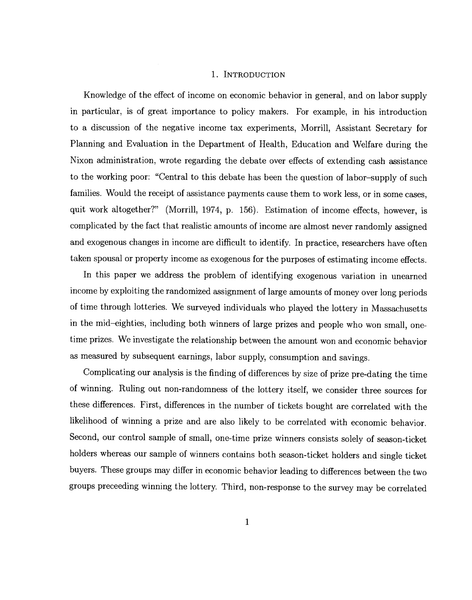#### 1. INTRODUCTION

Knowledge of the effect of income on economic behavior in general, and on labor supply in particular, is of great importance to policy makers. For example, in his introduction to a discussion of the negative income tax experiments, Morrill, Assistant Secretary for Planning and Evaluation in the Department of Health, Education and Welfare during the Nixon administration, wrote regarding the debate over effects of extending cash assistance to the working poor: "Central to this debate has been the question of labor—supply of such families. Would the receipt of assistance payments cause them to work less, or in some cases, quit work altogether?" (Morrill, 1974, p. 156). Estimation of income effects, however, is complicated by the fact that realistic amounts of income are almost never randomly assigned and exogenous changes in income are difficult to identify. In practice, researchers have often taken spousal or property income as exogenous for the purposes of estimating income effects.

In this paper we address the problem of identifying exogenous variation in unearned income by exploiting the randomized assignment of large amounts of money over long periods of time through lotteries. We surveyed individuals who played the lottery in Massachusetts in the mid—eighties, including both winners of large prizes and people who won small, onetime prizes. We investigate the relationship between the amount won and economic behavior as measured by subsequent earnings, labor supply, consumption and savings.

Complicating our analysis is the finding of differences by size of prize pre-dating the time of winning. Ruling out non-randomness of the lottery itself, we consider three sources for these differences. First, differences in the number of tickets bought are correlated with the likelihood of winning a prize and are also likely to be correlated with economic behavior. Second, our control sample of small, one-time prize winners consists solely of season-ticket holders whereas our sample of winners contains both season-ticket holders and single ticket buyers. These groups may differ in economic behavior leading to differences between the two groups preceeding winning the lottery. Third, non-response to the survey may be correlated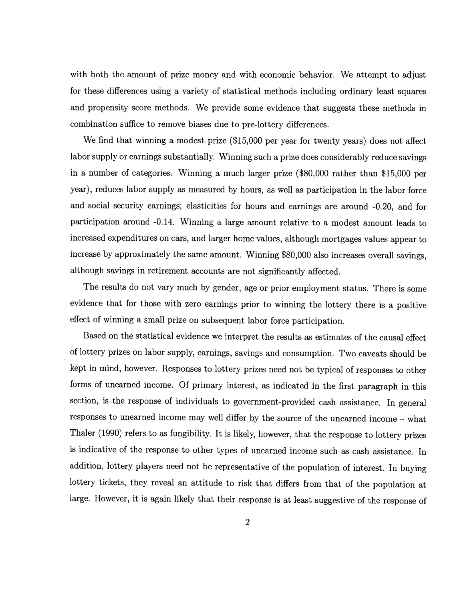with both the amount of prize money and with economic behavior. We attempt to adjust for these differences using a variety of statistical methods including ordinary least squares and propensity score methods. We provide some evidence that suggests these methods in combination suffice to remove biases due to pre-lottery differences.

We find that winning a modest prize (\$15,000 per year for twenty years) does not affect labor supply or earnings substantially. Winning such a prize does considerably reduce savings in a number of categories. Winning a much larger prize (\$80,000 rather than \$15,000 per year), reduces labor supply as measured by hours, as well as participation in the labor force and social security earnings; elasticities for hours and earnings are around -0.20, and for participation around -0.14. Winning a large amount relative to a modest amount leads to increased expenditures on cars, and larger home values, although mortgages values appear to increase by approximately the same amount. Winning \$80,000 also increases overall savings, although savings in retirement accounts are not significantly affected.

The results do not vary much by gender, age or prior employment status. There is some evidence that for those with zero earnings prior to winning the lottery there is a positive effect of winning a small prize on subsequent labor force participation.

Based on the statistical evidence we interpret the results as estimates of the causal effect of lottery prizes on labor supply, earnings, savings and consumption. Two caveats should be kept in mind, however. Responses to lottery prizes need not be typical of responses to other forms of unearned income. Of primary interest, as indicated in the first paragraph in this section, is the response of individuals to government-provided cash assistance. In general responses to unearned income may well differ by the source of the unearned income —what Thaler (1990) refers to as fungibility. It is likely, however, that theresponse to lottery prizes is indicative of the response to other types of unearned income such as cash assistance. In addition, lottery players need not be representative of the population of interest. In buying lottery tickets, they reveal an attitude to risk that differs from that of the population at large. However, it is again likely that their response is at least suggestive of the response of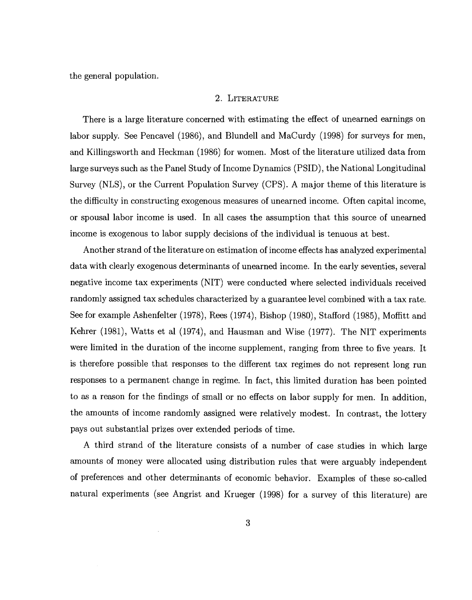the general population.

#### 2. LITERATURE

There is a large literature concerned with estimating the effect of unearned earnings on labor supply. See Pencavel (1986), and Blundell and MaCurdy (1998) for surveys for men, and Killingsworth and Heckman (1986) for women. Most of the literature utilized data from large surveys such as the Panel Study of Income Dynamics (PSID), the National Longitudinal Survey (NLS), or the Current Population Survey (CPS). A major theme of this literature is the difficulty in constructing exogenous measures of unearned income. Often capital income, or spousal labor income is used. In all cases the assumption that this source of unearned income is exogenous to labor supply decisions of the individual is tenuous at best.

Another strand of the literature on estimation of income effects has analyzed experimental data with clearly exogenous determinants of unearned income. In the early seventies, several negative income tax experiments (NIT) were conducted where selected individuals received randomly assigned tax schedules characterized by a guarantee level combined with a tax rate. See for example Ashenfelter (1978), Rees (1974), Bishop (1980), Stafford (1985), Moffitt and Kehrer (1981), Watts et al (1974), and Hausman and Wise (1977). The NIT experiments were limited in the duration of the income supplement, ranging from three to five years. It is therefore possible that responses to the different tax regimes do not represent long run responses to a permanent change in regime. In fact, this limited duration has been pointed to as a reason for the findings of small or no effects on labor supply for men. In addition, the amounts of income randomly assigned were relatively modest. In contrast, the lottery pays out substantial prizes over extended periods of time.

A third strand of the literature consists of a number of case studies in which large amounts of money were allocated using distribution rules that were arguably independent of preferences and other determinants of economic behavior. Examples of these so-called natural experiments (see Angrist and Krueger (1998) for a survey of this literature) are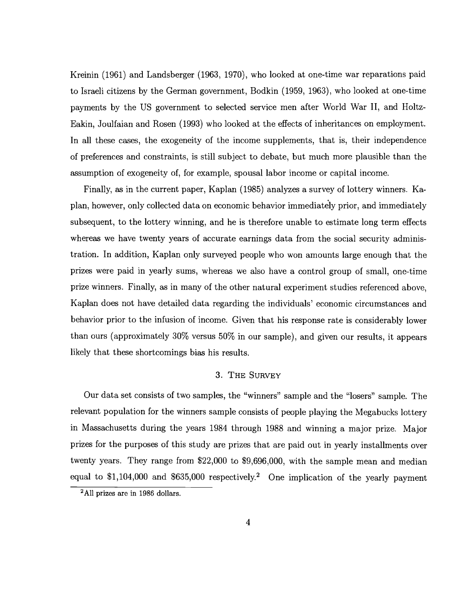Kreinin (1961) and Landsberger (1963, 1970), who looked at one-time war reparations paid to Israeli citizens by the German government, Bodkin (1959, 1963), who looked at one-time payments by the US government to selected service men after World War II, and Holtz-Eakin, Joulfaian and Rosen (1993) who looked at the effects of inheritances on employment. In all these cases, the exogeneity of the income supplements, that is, their independence of preferences and constraints, is still subject to debate, but much more plausible than the assumption of exogeneity of, for example, spousal labor income or capital income.

Finally, as in the current paper, Kaplan (1985) analyzes a survey of lottery winners. Kaplan, however, only collected data on economic behavior immediately prior, and immediately subsequent, to the lottery winning, and he is therefore unable to estimate long term effects whereas we have twenty years of accurate earnings data from the social security administration. In addition, Kaplan only surveyed people who won amounts large enough that the prizes were paid in yearly sums, whereas we also have a control group of small, one-time prize winners. Finally, as in many of the other natural experiment studies referenced above, Kaplan does not have detailed data regarding the individuals' economic circumstances and behavior prior to the infusion of income. Given that his response rate is considerably lower than ours (approximately 30% versus 50% in our sample), and given our results, it appears likely that these shortcomings bias his results.

### 3. THE SURVEY

Our data set consists of two samples, the "winners" sample and the "losers" sample. The relevant population for the winners sample consists of people playing the Megabucks lottery in Massachusetts during the years 1984 through 1988 and winning a major prize. Major prizes for the purposes of this study are prizes that are paid out in yearly installments over twenty years. They range from \$22,000 to \$9,696,000, with the sample mean and median equal to  $$1,104,000$  and  $$635,000$  respectively.<sup>2</sup> One implication of the yearly payment

<sup>2</sup>A11 prizes are in 1986 dollars.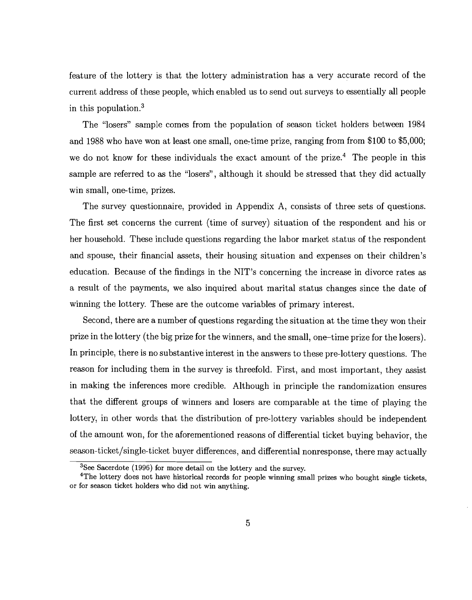feature of the lottery is that the lottery administration has a very accurate record of the current address of these people, which enabled us to send out surveys to essentially all people in this population.3

The "losers" sample comes from the population of season ticket holders between 1984 and 1988 who have won at least one small, one-time prize, ranging from from \$100 to \$5,000; we do not know for these individuals the exact amount of the prize.<sup>4</sup> The people in this sample are referred to as the "losers", although it should be stressed that they did actually win small, one-time, prizes.

The survey questionnaire, provided in Appendix A, consists of three sets of questions. The first set concerns the current (time of survey) situation of the respondent and his or her household. These include questions regarding the labor market status of the respondent and spouse, their financial assets, their housing situation and expenses on their children's education. Because of the findings in the NIT's concerning the increase in divorce rates as a result of the payments, we also inquired about marital status changes since the date of winning the lottery. These are the outcome variables of primary interest.

Second, there are a number of questions regarding the situation at the time they won their prize in the lottery (the big prize for the winners, and the small, one—time prize for the losers). In principle, there is no substantive interest in the answers to these pre-lottery questions. The reason for including them in the survey is threefold. First, and most important, they assist in making the inferences more credible. Although in principle the randomization ensures that the different groups of winners and losers are comparable at the time of playing the lottery, in other words that the distribution of pre-lottery variables should be independent of the amount won, for the aforementioned reasons of differential ticket buying behavior, the season-ticket/single-ticket buyer differences, and differential nonresponse, there may actually

<sup>&</sup>lt;sup>3</sup>See Sacerdote (1996) for more detail on the lottery and the survey.

<sup>&</sup>lt;sup>4</sup>The lottery does not have historical records for people winning small prizes who bought single tickets, or for season ticket holders who did not win anything.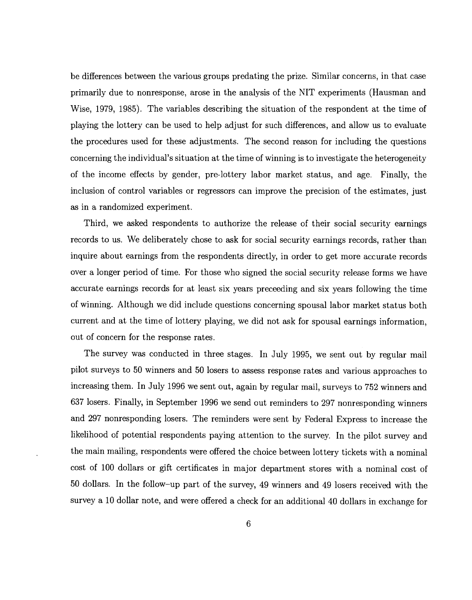be differences between the various groups predating the prize. Similar concerns, in that case primarily due to nonresponse, arose in the analysis of the NIT experiments (Hausman and Wise, 1979, 1985). The variables describing the situation of the respondent at the time of playing the lottery can be used to help adjust for such differences, and allow us to evaluate the procedures used for these adjustments. The second reason for including the questions concerning the individual's situation at the time of winning is to investigate the heterogeneity of the income effects by gender, pre-lottery labor market status, and age. Finally, the inclusion of control variables or regressors can improve the precision of the estimates, just as in a randomized experiment.

Third, we asked respondents to authorize the release of their social security earnings records to us. We deliberately chose to ask for social security earnings records, rather than inquire about earnings from the respondents directly, in order to get more accurate records over a longer period of time. For those who signed the social security release forms we have accurate earnings records for at least six years preceeding and six years following the time of winning. Although we did include questions concerning spousal labor market status both current and at the time of lottery playing, we did not ask for spousal earnings information, out of concern for the response rates.

The survey was conducted in three stages. In July 1995, we sent out by regular mail pilot surveys to 50 winners and 50 losers to assess response rates and various approaches to increasing them. In July 1996 we sent out, again by regular mail, surveys to 752 winners and 637 losers. Finally, in September 1996 we send out reminders to 297 nonresponding winners and 297 nonresponding losers. The reminders were sent by Federal Express to increase the likelihood of potential respondents paying attention to the survey. In the pilot survey and the main mailing, respondents were offered the choice between lottery tickets with a nominal cost of 100 dollars or gift certificates in major department stores with a nominal cost of 50 dollars. In the follow—up part of the survey, 49 winners and 49 losers received with the survey a 10 dollar note, and were offered a check for an additional 40 dollars in exchange for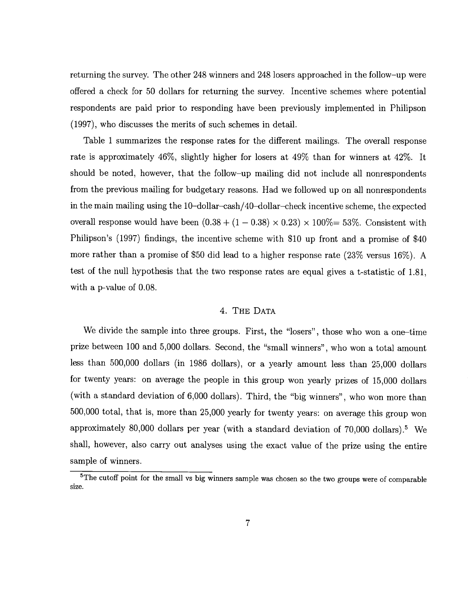returning the survey. The other 248 winners and 248 losers approached in the follow—up were offered a check for 50 dollars for returning the survey. Incentive schemes where potential respondents are paid prior to responding have been previously implemented in Philipson (1997), who discusses the merits of such schemes in detail.

Table 1 summarizes the response rates for the different mailings. The overall response rate is approximately 46%, slightly higher for losers at 49% than for winners at 42%. It should be noted, however, that the follow—up mailing did not include all nonrespondents from the previous mailing for budgetary reasons. Had we followed up on all nonrespondents in the main mailing using the 10—dollar—cash/40—dollar—check incentive scheme, the expected overall response would have been  $(0.38 + (1 - 0.38) \times 0.23) \times 100\% = 53\%$ . Consistent with Philipson's (1997) findings, the incentive scheme with \$10 up front and a promise of \$40 more rather than a promise of \$50 did lead to a higher response rate (23% versus 16%). A test of the null hypothesis that the two response rates are equal gives a t-statistic of 1.81, with a p-value of 0.08.

#### 4. THE DATA

We divide the sample into three groups. First, the "losers", those who won a one—time prize between 100 and 5,000 dollars. Second, the "small winners", who won a total amount less than 500,000 dollars (in 1986 dollars), or a yearly amount less than 25,000 dollars for twenty years: on average the people in this group won yearly prizes of 15,000 dollars (with a standard deviation of 6,000 dollars). Third, the "big winners", who won more than 500,000 total, that is, more than 25,000 yearly for twenty years: on average this group won approximately 80,000 dollars per year (with a standard deviation of  $70,000$  dollars).<sup>5</sup> We shall, however, also carry out analyses using the exact value of the prize using the entire sample of winners.

<sup>&</sup>lt;sup>5</sup>The cutoff point for the small vs big winners sample was chosen so the two groups were of comparable size.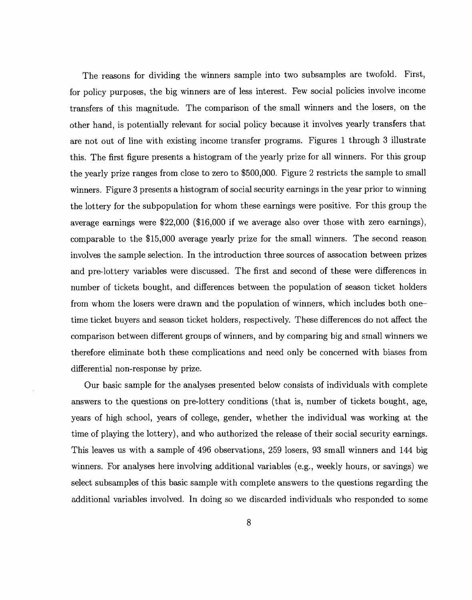The reasons for dividing the winners sample into two subsamples are twofold. First, for policy purposes, the big winners are of less interest. Few social policies involve income transfers of this magnitude. The comparison of the small winners and the losers, on the other hand, is potentially relevant for social policy because it involves yearly transfers that are not out of line with existing income transfer programs. Figures 1 through 3 illustrate this. The first figure presents a histogram of the yearly prize for all winners. For this group the yearly prize ranges from close to zero to \$500,000. Figure 2 restricts the sample to small winners. Figure 3 presents a histogram of social security earnings in the year prior to winning the lottery for the subpopulation for whom these earnings were positive. For this group the average earnings were \$22,000 (\$16,000 if we average also over those with zero earnings), comparable to the \$15,000 average yearly prize for the small winners. The second reason involves the sample selection. In the introduction three sources of assocation between prizes and pre-lottery variables were discussed. The first and second of these were differences in number of tickets bought, and differences between the population of season ticket holders from whom the losers were drawn and the population of winners, which includes both onetime ticket buyers and season ticket holders, respectively. These differences do not affect the comparison between different groups of winners, and by comparing big and small winners we therefore eliminate both these complications and need only be concerned with biases from differential non-response by prize.

Our basic sample for the analyses presented below consists of individuals with complete answers to the questions on pre-lottery conditions (that is, number of tickets bought, age, years of high school, years of college, gender, whether the individual was working at the time of playing the lottery), and who authorized the release of their social security earnings. This leaves us with a sample of 496 observations, 259 losers, 93 small winners and 144 big winners. For analyses here involving additional variables (e.g., weekly hours, or savings) we select subsamples of this basic sample with complete answers to the questions regarding the additional variables involved. In doing so we discarded individuals who responded to some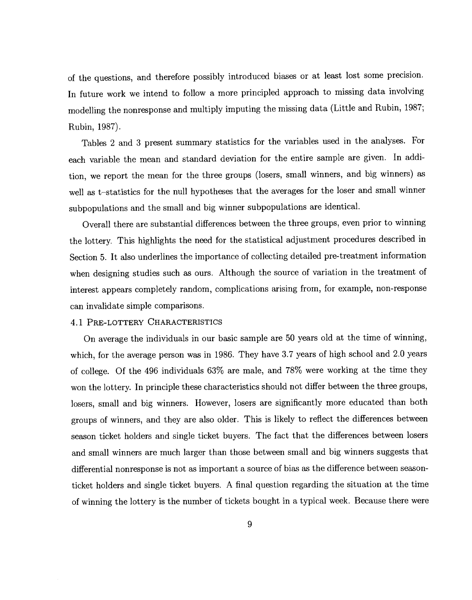of the questions, and therefore possibly introduced biases or at least lost some precision. In future work we intend to follow a more principled approach to missing data involving modelling the nonresponse and multiply imputing the missing data (Little and Rubin, 1987; Rubin, 1987).

Tables 2 and 3 present summary statistics for the variables used in the analyses. For each variable the mean and standard deviation for the entire sample are given. In addition, we report the mean for the three groups (losers, small winners, and big winners) as well as t—statistics for the null hypotheses that the averages for the loser and small winner subpopulations and the small and big winner subpopulations are identical.

Overall there are substantial differences between the three groups, even prior to winning the lottery. This highlights the need for the statistical adjustment procedures described in Section 5. It also underlines the importance of collecting detailed pre-treatment information when designing studies such as ours. Although the source of variation in the treatment of interest appears completely random, complications arising from, for example, non-response can invalidate simple comparisons.

#### 4.1 PRE-LOTTERY CHARACTERISTICS

On average the individuals in our basic sample are 50 years old at the time of winning, which, for the average person was in 1986. They have 3.7 years of high school and 2.0 years of college. Of the 496 individuals 63% are male, and 78% were working at the time they won the lottery. In principle these characteristics should not differ between the three groups, losers, small and big winners. However, losers are significantly more educated than both groups of winners, and they are also older. This is likely to reflect the differences between season ticket holders and single ticket buyers. The fact that the differences between losers and small winners are much larger than those between small and big winners suggests that differential nonresponse is not as important a source of bias as the difference between seasonticket holders and single ticket buyers. A final question regarding the situation at the time of winning the lottery is the number of tickets bought in a typical week. Because there were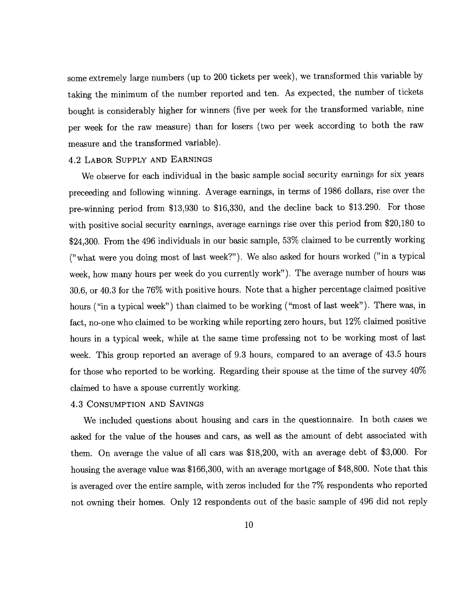some extremely large numbers (up to 200 tickets per week), we transformed this variable by taking the minimum of the number reported and ten. As expected, the number of tickets bought is considerably higher for winners (five per week for the transformed variable, nine per week for the raw measure) than for losers (two per week according to both the raw measure and the transformed variable).

#### 4.2 LABOR SUPPLY AND EARNINGS

We observe for each individual in the basic sample social security earnings for six years preceeding and following winning. Average earnings, in terms of 1986 dollars, rise over the pre-winning period from \$13,930 to \$16,330, and the decline back to \$13.290. For those with positive social security earnings, average earnings rise over this period from \$20,180 to \$24,300. From the 496 individuals in our basic sample, 53% claimed to be currently working ("what were you doing most of last week?"). We also asked for hours worked (" in a typical week, how many hours per week do you currently work"). The average number of hours was 30.6, or 40.3 for the 76% with positive hours. Note that a higher percentage claimed positive hours ("in a typical week") than claimed to be working ("most of last week"). There was, in fact, no-one who claimed to be working while reporting zero hours, but 12% claimed positive hours in a typical week, while at the same time professing not to be working most of last week. This group reported an average of 9.3 hours, compared to an average of 43.5 hours for those who reported to be working. Regarding their spouse at the time of the survey 40% claimed to have a spouse currently working.

#### 4.3 CONSUMPTION AND SAVINGS

We included questions about housing and cars in the questionnaire. In both cases we asked for the value of the houses and cars, as well as the amount of debt associated with them. On average the value of all cars was \$18,200, with an average debt of \$3,000. For housing the average value was \$166,300, with an average mortgage of \$48,800. Note that this is averaged over the entire sample, with zeros included for the 7% respondents who reported not owning their homes. Only 12 respondents out of the basic sample of 496 did not reply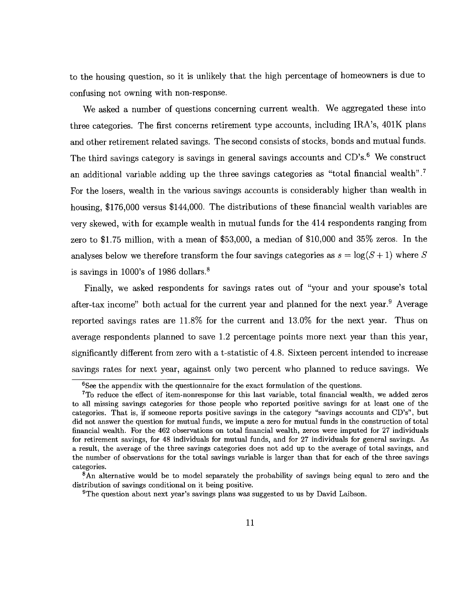to the housing question, so it is unlikely that the high percentage of homeowners is due to confusing not owning with non-response.

We asked a number of questions concerning current wealth. We aggregated these into three categories. The first concerns retirement type accounts, including IRA's, 401K plans and other retirement related savings. The second consists of stocks, bonds and mutual funds. The third savings category is savings in general savings accounts and CD's.<sup>6</sup> We construct an additional variable adding up the three savings categories as "total financial wealth".<sup>7</sup> For the losers, wealth in the various savings accounts is considerably higher than wealth in housing, \$176,000 versus \$144,000. The distributions of these financial wealth variables are very skewed, with for example wealth in mutual funds for the 414 respondents ranging from zero to \$1.75 million, with a mean of \$53,000, a median of \$10,000 and 35% zeros. In the analyses below we therefore transform the four savings categories as  $s = \log(S + 1)$  where S is savings in 1000's of 1986 dollars.8

Finally, we asked respondents for savings rates out of "your and your spouse's total after-tax income" both actual for the current year and planned for the next year.<sup>9</sup> Average reported savings rates are 11.8% for the current and 13.0% for the next year. Thus on average respondents planned to save 1.2 percentage points more next year than this year, significantly different from zero with a t-statistic of 4.8. Sixteen percent intended to increase savings rates for next year, against oniy two percent who planned to reduce savings. We

<sup>&</sup>lt;sup>6</sup>See the appendix with the questionnaire for the exact formulation of the questions.

 $7$ To reduce the effect of item-nonresponse for this last variable, total financial wealth, we added zeros to all missing savings categories for those people who reported positive savings for at least one of the categories. That is, if someone reports positive savings in the category "savings accounts and CD's", but did not answer the question for mutual funds, we impute a zero for mutual funds in the construction of total financial wealth. For the 462 observations on total financial wealth, zeros were imputed for 27 individuals for retirement savings, for 48 individuals for mutual funds, and for 27 individuals for general savings. As a result, the average of the three savings categories does not add up to the average of total savings, and the number of observations for the total savings variable is larger than that for each of the three savings

 $8$ An alternative would be to model separately the probability of savings being equal to zero and the distribution of savings conditional on it being positive.

<sup>9</sup>The question about next year's savings plans was suggested to us by David Laibson.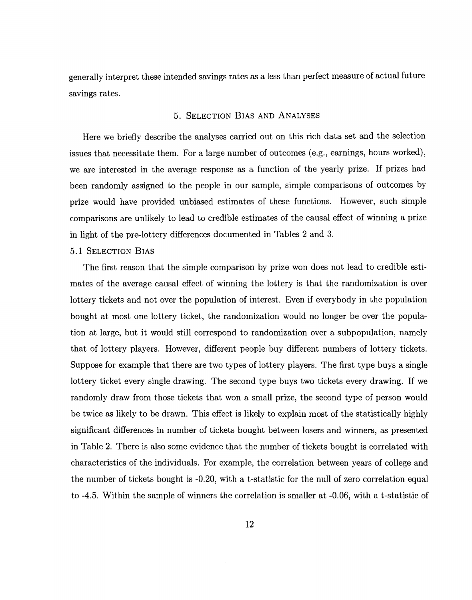generally interpret these intended savings rates as a less than perfect measure of actual future savings rates.

#### 5. SELECTION BIAS AND ANALYSES

Here we briefly describe the analyses carried out on this rich data set and the selection issues that necessitate them. For a large number of outcomes (e.g., earnings, hours worked), we are interested in the average response as a function of the yearly prize. If prizes had been randomly assigned to the people in our sample, simple comparisons of outcomes by prize would have provided unbiased estimates of these functions. However, such simple comparisons are unlikely to lead to credible estimates of the causal effect of winning a prize in light of the pre-lottery differences documented in Tables 2 and 3.

# 5.1 SELECTION BIAS

The first reason that the simple comparison by prize won does not lead to credible estimates of the average causal effect of winning the lottery is that the randomization is over lottery tickets and not over the population of interest. Even if everybody in the population bought at most one lottery ticket, the randomization would no longer be over the population at large, but it would still correspond to randomization over a subpopulation, namely that of lottery players. However, different people buy different numbers of lottery tickets. Suppose for example that there are two types of lottery players. The first type buys a single lottery ticket every single drawing. The second type buys two tickets every drawing. If we randomly draw from those tickets that won a small prize, the second type of person would be twice as likely to be drawn. This effect is likely to explain most of the statistically highly significant differences in number of tickets bought between losers and winners, as presented in Table 2. There is also some evidence that the number of tickets bought is correlated with characteristics of the individuals. For example, the correlation between years of college and the number of tickets bought is -0.20, with a t-statistic for the null of zero correlation equal to -4.5. Within the sample of winners the correlation is smaller at -0.06, with a t-statistic of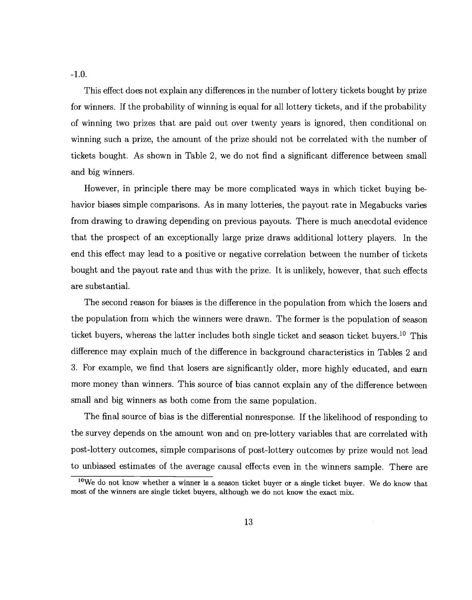-1.0.

This effect does not explain any differences in the number of lottery tickets bought by prize for winners. If the probability of winning is equal for all lottery tickets, and if the probability of winning two prizes that are paid out over twenty years is ignored, then conditional on winning such a prize, the amount of the prize should not be correlated with the number of tickets bought. As shown in Table 2, we do not find a significant difference between small and big winners.

However, in principle there may be more complicated ways in which ticket buying behavior biases simple comparisons. As in many lotteries, the payout rate in Megabucks varies from drawing to drawing depending on previous payouts. There is much anecdotal evidence that the prospect of an exceptionally large prize draws additional lottery players. In the end this effect may lead to a positive or negative correlation between the number of tickets bought and the payout rate and thus with the prize. It is unlikely, however, that such effects are substantial.

The second reason for biases is the difference in the population from which the losers and the population from which the winners were drawn. The former is the population of season ticket buyers, whereas the latter includes both single ticket and season ticket buyers.<sup>10</sup> This difference may explain much of the difference in background characteristics in Tables 2 and 3. For example, we find that losers are significantly older, more highly educated, and earn more money than winners. This source of bias cannot explain any of the difference between small and big winners as both come from the same population.

The final source of bias is the differential nonresponse. If the likelihood of responding to the survey depends on the amount won and on pre-lottery variables that are correlated with post-lottery outcomes, simple comparisons of post-lottery outcomes by prize would not lead to unbiased estimates of the average causal effects even in the winners sample. There are

<sup>&</sup>lt;sup>10</sup>We do not know whether a winner is a season ticket buyer or a single ticket buyer. We do know that most of the winners are single ticket buyers, although we do not know the exact mix.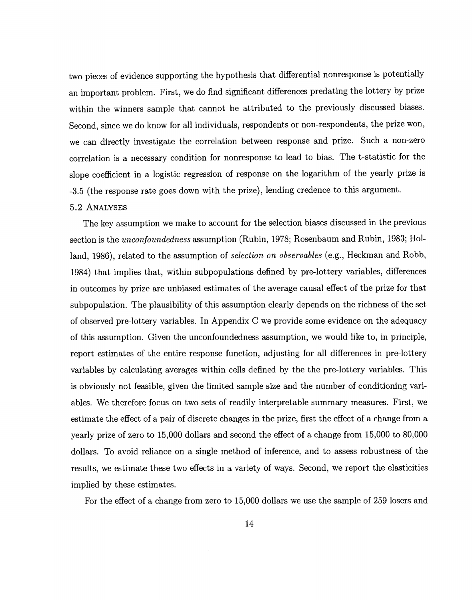two pieces of evidence supporting the hypothesis that differential nonresponse is potentially an important problem. First, we do find significant differences predating the lottery by prize within the winners sample that cannot be attributed to the previously discussed biases. Second, since we do know for all individuals, respondents or non-respondents, the prize won, we can directly investigate the correlation between response and prize. Such a non-zero correlation is a necessary condition for nonresponse to lead to bias. The t-statistic for the slope coefficient in a logistic regression of response on the logarithm of the yearly prize is -3.5 (the response rate goes down with the prize), lending credence to this argument.

#### 5.2 ANALYSES

The key assumption we make to account for the selection biases discussed in the previous section is the unconfoundedness assumption (Rubin, 1978; Rosenbaum and Rubin, 1983; Holland, 1986), related to the assumption of selection on observables (e.g., Heckman and Robb, 1984) that implies that, within subpopulations defined by pre-lottery variables, differences in outcomes by prize are unbiased estimates of the average causal effect of the prize for that subpopulation. The plausibility of this assumption clearly depends on the richness of the set of observed pre-lottery variables. In Appendix C we provide some evidence on the adequacy of this assumption. Given the unconfoundedness assumption, we would like to, in principle, report estimates of the entire response function, adjusting for all differences in pre-lottery variables by calculating averages within cells defined by the the pre-lottery variables. This is obviously not feasible, given the limited sample size and the number of conditioning variables. We therefore focus on two sets of readily interpretable summary measures. First, we estimate the effect of a pair of discrete changes in the prize, first the effect of a change from a yearly prize of zero to 15,000 dollars and second the effect of a change from 15,000 to 80,000 dollars. To avoid reliance on a single method of inference, and to assess robustness of the results, we estimate these two effects in a variety of ways. Second, we report the elasticities implied by these estimates.

For the effect of a change from zero to 15,000 dollars we use the sample of 259 losers and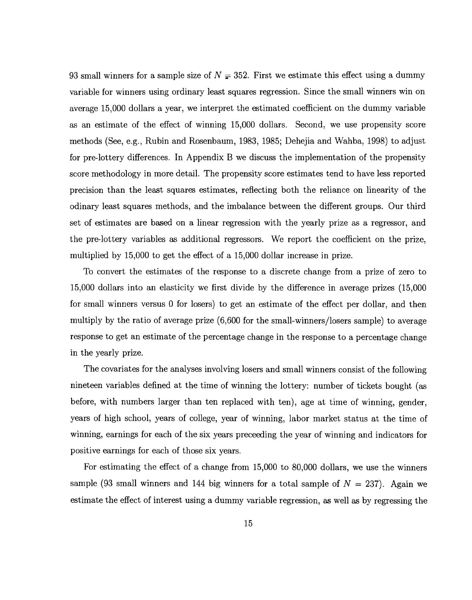93 small winners for a sample size of  $N = 352$ . First we estimate this effect using a dummy variable for winners using ordinary least squares regression. Since the small winners win on average 15,000 dollars a year, we interpret the estimated coefficient on the dummy variable as an estimate of the effect of winning 15,000 dollars. Second, we use propensity score methods (See, e.g., Rubin and Rosenbaum, 1983, 1985; Dehejia and Wahba, 1998) to adjust for pre-lottery differences. In Appendix B we discuss the implementation of the propensity score methodology in more detail. The propensity score estimates tend to have less reported precision than the least squares estimates, reflecting both the reliance on linearity of the odinary least squares methods, and the imbalance between the different groups. Our third set of estimates are based on a linear regression with the yearly prize as a regressor, and the pre-lottery variables as additional regressors. We report the coefficient on the prize, multiplied by 15,000 to get the effect of a 15,000 dollar increase in prize.

To convert the estimates of the response to a discrete change from a prize of zero to 15,000 dollars into an elasticity we first divide by the difference in average prizes (15,000 for small winners versus 0 for losers) to get an estimate of the effect per dollar, and then multiply by the ratio of average prize (6,600 for the small-winners/losers sample) to average response to get an estimate of the percentage change in the response to a percentage change in the yearly prize.

The covariates for the analyses involving losers and small winners consist of the following nineteen variables defined at the time of winning the lottery: number of tickets bought (as before, with numbers larger than ten replaced with ten), age at time of winning, gender, years of high school, years of college, year of winning, labor market status at the time of winning, earnings for each of the six years preceeding the year of winning and indicators for positive earnings for each of those six years.

For estimating the effect of a change from 15,000 to 80,000 dollars, we use the winners sample (93 small winners and 144 big winners for a total sample of  $N = 237$ ). Again we estimate the effect of interest using a dummy variable regression, as well as by regressing the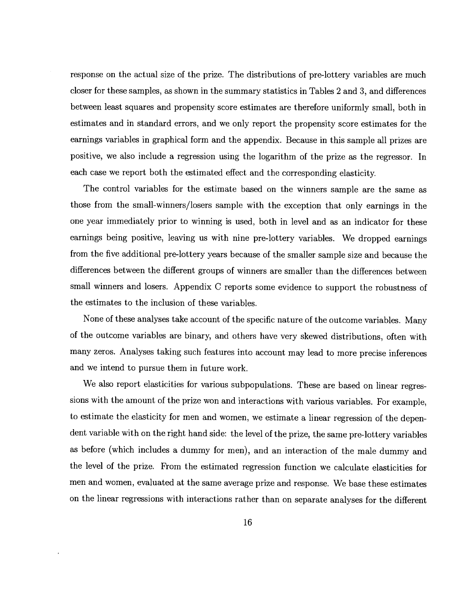response on the actual size of the prize. The distributions of pre-lottery variables are much closer for these samples, as shown in the summary statistics in Tables 2 and 3, and differences between least squares and propensity score estimates are therefore uniformly small, both in estimates and in standard errors, and we only report the propensity score estimates for the earnings variables in graphical form and the appendix. Because in this sample all prizes are positive, we also include a regression using the logarithm of the prize as the regressor. In each case we report both the estimated effect and the corresponding elasticity.

The control variables for the estimate based on the winners sample are the same as those from the small-winners/losers sample with the exception that only earnings in the one year immediately prior to winning is used, both in level and as an indicator for these earnings being positive, leaving us with nine pre-lottery variables. We dropped earnings from the five additional pre-lottery years because of the smaller sample size and because the differences between the different groups of winners are smaller than the differences between small winners and losers. Appendix C reports some evidence to support the robustness of the estimates to the inclusion of these variables.

None of these analyses take account of the specific nature of the outcome variables. Many of the outcome variables are binary, and others have very skewed distributions, often with many zeros. Analyses taking such features into account may lead to more precise inferences and we intend to pursue them in future work.

We also report elasticities for various subpopulations. These are based on linear regressions with the amount of the prize won and interactions with various variables. For example, to estimate the elasticity for men and women, we estimate a linear regression of the dependent variable with on the right hand side: the level of the prize, the same pre-lottery variables as before (which includes a dummy for men), and an interaction of the male dummy and the level of the prize. From the estimated regression function we calculate elasticities for men and women, evaluated at the same average prize and response. We base these estimates on the linear regressions with interactions rather than on separate analyses for the different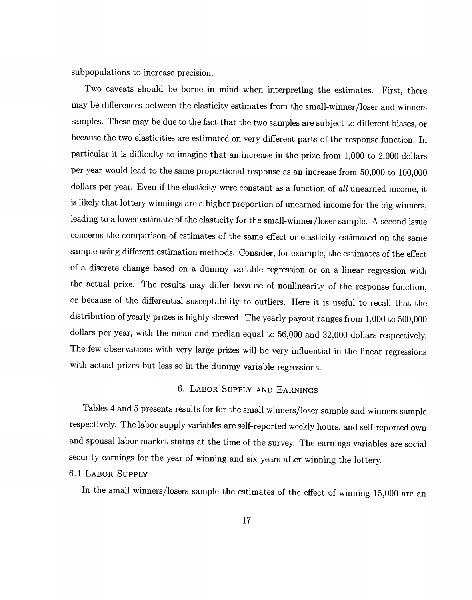subpopulations to increase precision.

Two caveats should be borne in mind when interpreting the estimates. First, there may be differences between the elasticity estimates from the small-winner/loser and winners samples. These may be due to the fact that the two samples are subject to different biases, or because the two elasticities are estimated on very different parts of theresponse function. In particular it is difficulty to imagine that an increase in the prize from 1,000 to 2,000 dollars per year would lead to the same proportional response as an increase from 50,000 to 100,000 dollars per year. Even if the elasticity were constant as a function of all unearned income, it is likely that lottery winnings are a higher proportion of unearned income for the big winners, leading to a lower estimate of the elasticity for the small-winner/loser sample. A second issue concerns the comparison of estimates of the same effect or elasticity estimated on the same sample using different estimation methods. Consider, for example, the estimates of the effect of a discrete change based on a dummy variable regression or on a linear regression with the actual prize. The results may differ because of nonlinearity of the response function, or because of the differential susceptability to outliers. Here it is useful to recall that the distribution of yearly prizes is highly skewed. The yearly payout ranges from 1,000 to 500,000 dollars per year, with the mean and median equal to 56,000 and 32,000 dollars respectively. The few observations with very large prizes will be very influential in the linear regressions with actual prizes but less so in the dummy variable regressions.

#### 6. LABOR SUPPLY AND EARNINGS

Tables 4 and 5 presents results for for the small winners/loser sample and winners sample respectively. The labor supply variables are self-reported weekly hours, and self-reported own and spousal labor market status at the time of the survey. The earnings variables are social security earnings for the year of winning and six years after winning the lottery.

# 6.1 LABOR SUPPLY

In the small winners/losers sample the estimates of the effect of winning 15,000 are an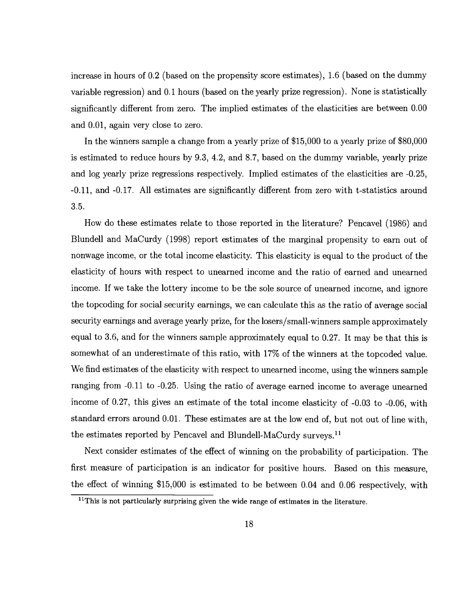increase in hours of 0.2 (based on the propensity score estimates), 1.6 (based on the dummy variable regression) and 0.1 hours (based on the yearly prize regression). None is statistically significantly different from zero. The implied estimates of the elasticities are between 0.00 and 0.01, again very close to zero.

In the winners sample a change from a yearly prize of \$15,000 to a yearly prize of \$80,000 is estimated to reduce hours by 9.3, 4.2, and 8.7, based on the dummy variable, yearly prize and log yearly prize regressions respectively. Implied estimates of the elasticities are -0.25, -0.11, and -0.17. All estimates are significantly different from zero with t-statistics around 3.5.

How do these estimates relate to those reported in the literature? Pencavel (1986) and Blundell and MaCurdy (1998) report estimates of the marginal propensity to earn out of nonwage income, or the total income elasticity. This elasticity is equal to the product of the elasticity of hours with respect to unearned income and the ratio of earned and unearned income. If we take the lottery income to be the sole source of unearned income, and ignore the topcoding for social security earnings, we can calculate this as the ratio of average social security earnings and average yearly prize, for the losers/small-winners sample approximately equal to 3.6, and for the winners sample approximately equal to 0.27. It may be that this is somewhat of an underestimate of this ratio, with 17% of the winners at the topcoded value. We find estimates of the elasticity with respect to unearned income, using the winners sample ranging from -0.11 to -0.25. Using the ratio of average earned income to average unearned income of 0.27, this gives an estimate of the total income elasticity of -0.03 to -0.06, with standard errors around 0.01. These estimates are at the low end of, but not out of line with, the estimates reported by Pencavel and Blundell-MaCurdy surveys.<sup>11</sup>

Next consider estimates of the effect of winning on the probability of participation. The first measure of participation is an indicator for positive hours. Based on this measure, the effect of winning \$15,000 is estimated to be between 0.04 and 0.06 respectively, with

<sup>&</sup>lt;sup>11</sup>This is not particularly surprising given the wide range of estimates in the literature.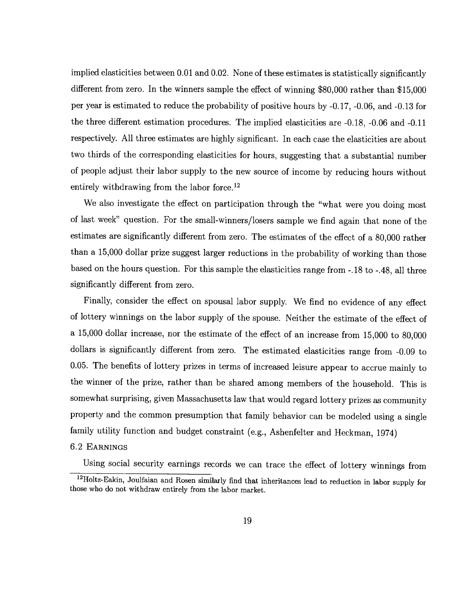implied elasticities between 0.01 and 0.02. None of these estimates is statistically significantly different from zero. In the winners sample the effect of winning \$80,000 rather than \$15,000 per year is estimated to reduce the probability of positive hours by -0.17, -0.06, and -0.13 for the three different estimation procedures. The implied elasticities are -0.18, -0.06 and -0.11 respectively. All three estimates are highly significant. In each case the elasticities are about two thirds of the corresponding elasticities for hours, suggesting that a substantial number of people adjust their labor supply to the new source of income by reducing hours without entirely withdrawing from the labor force.<sup>12</sup>

We also investigate the effect on participation through the "what were you doing most of last week" question. For the small-winners/losers sample we find again that none of the estimates are significantly different from zero. The estimates of the effect of a 80,000 rather than a 15,000 dollar prize suggest larger reductions in the probability of working than those based on the hours question. For this sample the elasticities range from -.18 to -.48, all three significantly different from zero.

Finally, consider the effect on spousal labor supply. We find no evidence of any effect of lottery winnings on the labor supply of the spouse. Neither the estimate of the effect of a 15,000 dollar increase, nor the estimate of the effect of an increase from 15,000 to 80,000 dollars is significantly different from zero. The estimated elasticities range from -0.09 to 0.05. The benefits of lottery prizes in terms of increased leisure appear to accrue mainly to the winner of the prize, rather than be shared among members of the household. This is somewhat surprising, given Massachusetts law that would regard lottery prizes as community property and the common presumption that family behavior can be modeled using a single family utility function and budget constraint (e.g., Ashenfelter and Heckman, 1974)

#### 6.2 EARNINGS

Using social security earnings records we can trace the effect of lottery winnings from

<sup>&</sup>lt;sup>12</sup>Holtz-Eakin, Joulfaian and Rosen similarly find that inheritances lead to reduction in labor supply for those who do not withdraw entirely from the labor market.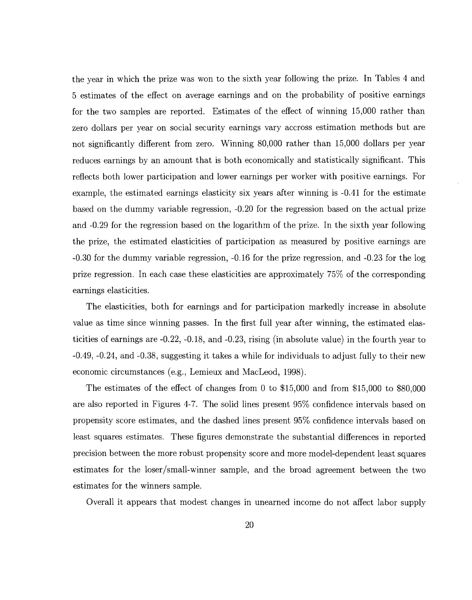the year in which the prize was won to the sixth year following the prize. In Tables 4 and 5 estimates of the effect on average earnings and on the probability of positive earnings for the two samples are reported. Estimates of the effect of winning 15,000 rather than zero dollars per year on social security earnings vary accross estimation methods but are not significantly different from zero. Winning 80,000 rather than 15,000 dollars per year reduces earnings by an amount that is both economically and statistically significant. This reflects both lower participation and lower earnings per worker with positive earnings. For example, the estimated earnings elasticity six years after winning is -0.41 for the estimate based on the dummy variable regression, -0.20 for the regression based on the actual prize and -0.29 for the regression based on the logarithm of the prize. In the sixth year following the prize, the estimated elasticities of participation as measured by positive earnings are -0.30 for the dummy variable regression, -0.16 for the prize regression, and -0.23 for the log prize regression. In each case these elasticities are approximately 75% of the corresponding earnings elasticities.

The elasticities, both for earnings and for participation markedly increase in absolute value as time since winning passes. In the first full year after winning, the estimated elasticities of earnings are -0.22, -0.18, and -0.23, rising (in absolute value) in the fourth year to -0.49, -0.24, and -0.38, suggesting it takes a while for individuals to adjust fully to their new economic circumstances (e.g., Lemieux and MacLeod, 1998).

The estimates of the effect of changes from 0 to \$15,000 and from \$15,000 to \$80,000 are also reported in Figures 4-7. The solid lines present 95% confidence intervals based on propensity score estimates, and the dashed lines present 95% confidence intervals based on least squares estimates. These figures demonstrate the substantial differences in reported precision between the more robust propensity score and more model-dependent least squares estimates for the loser/small-winner sample, and the broad agreement between the two estimates for the winners sample.

Overall it appears that modest changes in unearned income do not affect labor supply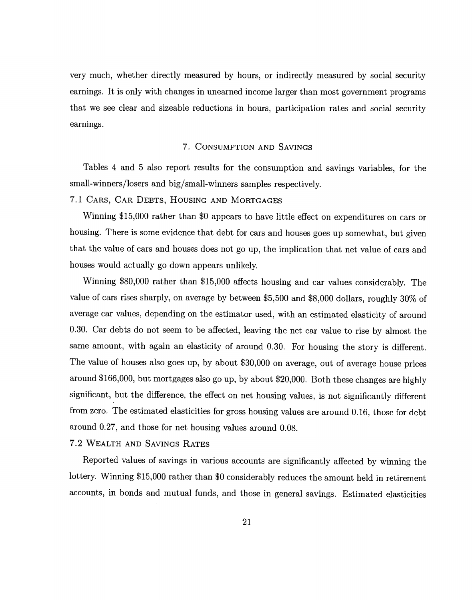very much, whether directly measured by hours, or indirectly measured by social security earnings. It is only with changes in unearned income larger than most government programs that we see clear and sizeable reductions in hours, participation rates and social security earnings.

#### 7. CONSUMPTION AND SAVINGS

Tables 4 and 5 also report results for the consumption and savings variables, for the small-winners/losers and big/small-winners samples respectively.

7.1 CARS, CAR DEBTS, HOUSING AND MORTGAGES

Winning \$15,000 rather than \$0 appears to have little effect on expenditures on cars or housing. There is some evidence that debt for cars and houses goes up somewhat, but given that the value of cars and houses does not go up, the implication that net value of cars and houses would actually go down appears unlikely.

Winning \$80,000 rather than \$15,000 affects housing and car values considerably. The value of cars rises sharply, on average by between \$5,500 and \$8,000 dollars, roughly 30% of average car values, depending on the estimator used, with an estimated elasticity of around 0.30. Car debts do not seem to be affected, leaving the net car value to rise by almost the same amount, with again an elasticity of around 0.30. For housing the story is different. The value of houses also goes up, by about \$30,000 on average, out of average house prices around \$166,000, but mortgages also go up, by about \$20,000. Both these changes are highly significant, but the difference, the effect on net housing values, is not significantly different from zero. The estimated elasticities for gross housing values are around 0.16, those for debt around 0.27, and those for net housing values around 0.08.

# 7.2 WEALTH AND SAVINGS RATES

Reported values of savings in various accounts are significantly affected by winning the lottery. Winning \$15,000 rather than \$0 considerably reduces the amount held in retirement accounts, in bonds and mutual funds, and those in general savings. Estimated elasticities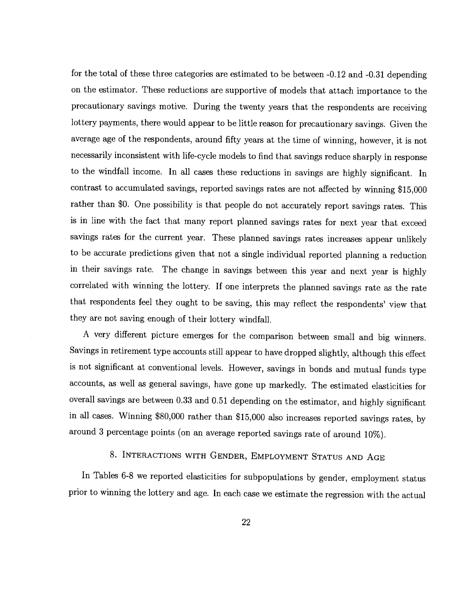for the total of these three categories are estimated to be between —0.12 and -0.31 depending on the estimator. These reductions are supportive of models that attach importance to the precautionary savings motive. During the twenty years that the respondents are receiving lottery payments, there would appear to be little reason for precautionary savings. Given the average age of the respondents, around fifty years at the time of winning, however, it is not necessarily inconsistent with life-cycle models to find that savings reduce sharply in response to the windfall income. In all cases these reductions in savings are highly significant. In contrast to accumulated savings, reported savings rates are not affected by winning \$15,000 rather than \$0. One possibility is that people do not accurately report savings rates. This is in line with the fact that many report planned savings rates for next year that exceed savings rates for the current year. These planned savings rates increases appear unlikely to be accurate predictions given that not a single individual reported planning a reduction in their savings rate. The change in savings between this year and next year is highly correlated with winning the lottery. If one interprets the planned savings rate as the rate that respondents feel they ought to be saving, this may reflect the respondents' view that they are not saving enough of their lottery windfall.

A very different picture emerges for the comparison between small and big winners. Savings in retirement type accounts still appear to have dropped slightly, although this effect is not significant at conventional levels. However, savings in bonds and mutual funds type accounts, as well as general savings, have gone up markedly. The estimated elasticities for overall savings are between 0.33 and 0.51 depending on the estimator, and highly significant in all cases. Winning \$80,000 rather than \$15,000 also increases reported savings rates, by around 3 percentage points (on an average reported savings rate of around 10%).

# 8. INTERACTIONS WITH GENDER, EMPLOYMENT STATUS AND AGE

In Tables 6-8 we reported elasticities for subpopulations by gender, employment status prior to winning the lottery and age. In each case we estimate the regression with the actual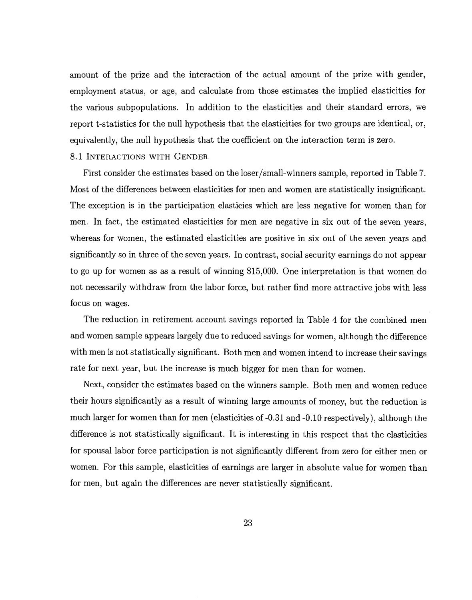amount of the prize and the interaction of the actual amount of the prize with gender, employment status, or age, and calculate from those estimates the implied elasticities for the various subpopulations. In addition to the elasticities and their standard errors, we report t-statistics for the null hypothesis that the elasticities for two groups are identical, or, equivalently, the null hypothesis that the coefficient on the interaction term is zero.

#### 8.1 INTERACTIONS WITH GENDER

First consider the estimates based on the loser/small-winners sample, reported in Table 7. Most of the differences between elasticities for men and women are statistically insignificant. The exception is in the participation elasticies which are less negative for women than for men. In fact, the estimated elasticities for men are negative in six out of the seven years, whereas for women, the estimated elasticities are positive in six out of the seven years and significantly so in three of the seven years. In contrast, social security earnings do not appear to go up for women as as a result of winning \$15,000. One interpretation is that women do not necessarily withdraw from the labor force, but rather find more attractive jobs with less focus on wages.

The reduction in retirement account savings reported in Table 4 for the combined men and women sample appears largely due to reduced savings for women, although the difference with men is not statistically significant. Both men and women intend to increase their savings rate for next year, but the increase is much bigger for men than for women.

Next, consider the estimates based on the winners sample. Both men and women reduce their hours significantly as a result of winning large amounts of money, but the reduction is much larger for women than for men (elasticities of -0.31 and -0.10 respectively), although the difference is not statistically significant. It is interesting in this respect that the elasticities for spousal labor force participation is not significantly different from zero for either men or women. For this sample, elasticities of earnings are larger in absolute value for women than for men, but again the differences are never statistically significant.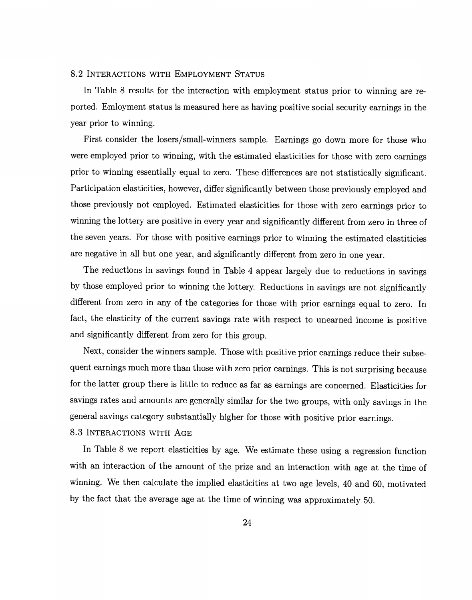#### 8.2 INTERACTIONS WITH EMPLOYMENT STATUS

In Table 8 results for the interaction with employment status prior to winning are reported. Emloyment status is measured here as having positive social security earnings in the year prior to winning.

First consider the losers/small-winners sample. Earnings go down more for those who were employed prior to winning, with the estimated elasticities for those with zero earnings prior to winning essentially equal to zero. These differences are not statistically significant. Participation elasticities, however, differ significantly between those previously employed and those previously not employed. Estimated elasticities for those with zero earnings prior to winning the lottery are positive in every year and significantly different from zero in three of the seven years. For those with positive earnings prior to winning the estimated elastiticies are negative in all but one year, and significantly different from zero in one year.

The reductions in savings found in Table 4 appear largely due to reductions in savings by those employed prior to winning the lottery. Reductions in savings are not significantly different from zero in any of the categories for those with prior earnings equal to zero. In fact, the elasticity of the current savings rate with respect to unearned income is positive and significantly different from zero for this group.

Next, consider the winners sample. Those with positive prior earnings reduce their subsequent earnings much more than those with zero prior earnings. This is not surprising because for the latter group there is little to reduce as far as earnings are concerned. Elasticities for savings rates and amounts are generally similar for the two groups, with only savings in the general savings category substantially higher for those with positive prior earnings.

#### 8.3 INTERACTIONS WITH AGE

In Table 8 we report elasticities by age. We estimate these using a regression function with an interaction of the amount of the prize and an interaction with age at the time of winning. We then calculate the implied elasticities at two age levels, 40 and 60, motivated by the fact that the average age at the time of winning was approximately 50.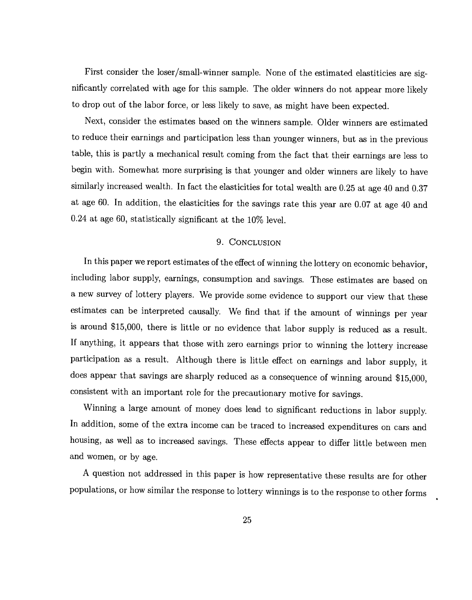First consider the loser/small-winner sample. None of the estimated elastiticies are significantly correlated with age for this sample. The older winners do not appear more likely to drop out of the labor force, or less likely to save, as might have been expected.

Next, consider the estimates based on the winners sample. Older winners are estimated to reduce their earnings and participation less than younger winners, but as in the previous table, this is partly a mechanical result coming from the fact that their earnings are less to begin with. Somewhat more surprising is that younger and older winners are likely to have similarly increased wealth. In fact the elasticities for total wealth are 0.25 at age 40 and 0.37 at age 60. In addition, the elasticities for the savings rate this year are 0.07 at age 40 and 0.24 at age 60, statistically significant at the 10% level.

#### 9. CONCLUSION

In this paper we report estimates of the effect of winning the lottery on economic behavior, including labor supply, earnings, consumption and savings. These estimates are based on a new survey of lottery players. We provide some evidence to support our view that these estimates can be interpreted causally. We find that if the amount of winnings per year is around \$15,000, there is little or no evidence that labor supply is reduced as a result. If anything, it appears that those with zero earnings prior to winning the lottery increase participation as a result. Although there is little effect on earnings and labor supply, it does appear that savings are sharply reduced as a consequence of winning around \$15,000, consistent with an important role for the precautionary motive for savings.

Winning a large amount of money does lead to significant reductions in labor supply. In addition, some of the extra income can be traced to increased expenditures on cars and housing, as well as to increased savings. These effects appear to differ little between men and women, or by age.

A question not addressed in this paper is how representative these results are for other populations, or how similar the response to lottery winnings is to the response to other forms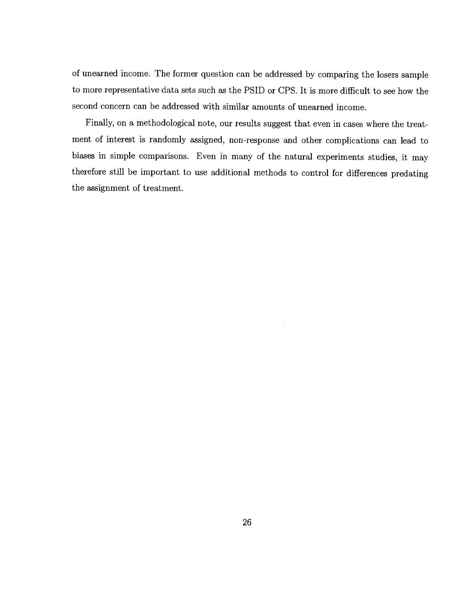of unearned income. The former question can be addressed by comparing the losers sample to more representative data sets such as the PSID or CPS. It is more difficult to see how the second concern can be addressed with similar amounts of unearned income.

Finally, on a methodological note, our results suggest that even in cases where the treatment of interest is randomly assigned, non-response and other complications can lead to biases in simple comparisons. Even in many of the natural experiments studies, it may therefore still be important to use additional methods to control for differences predating the assignment of treatment.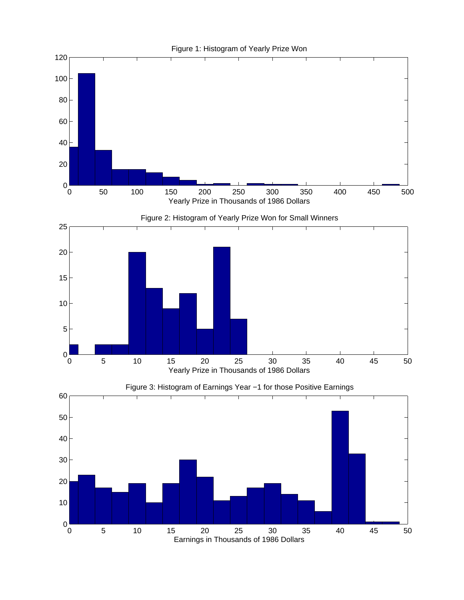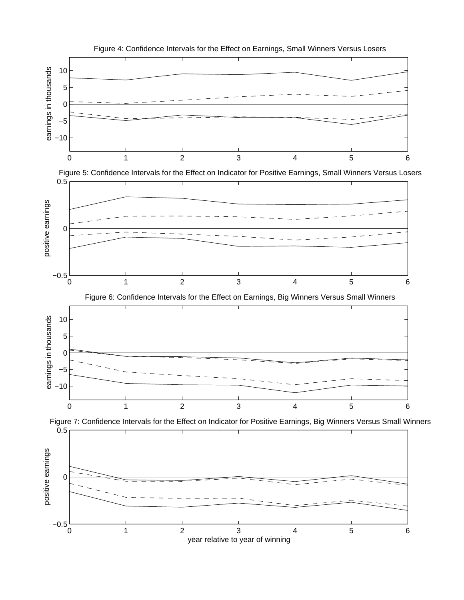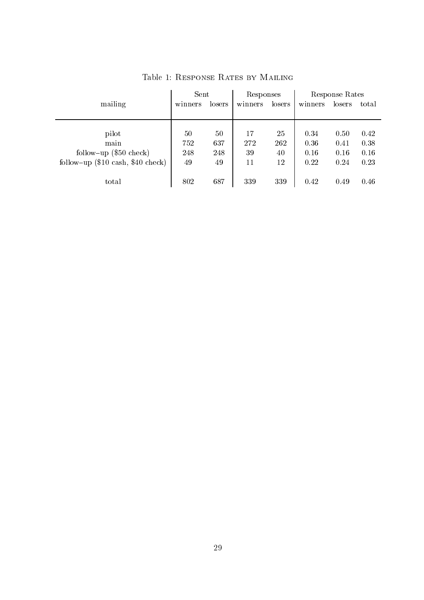|                                                     | Sent    |        | Responses |        | Response Rates |        |       |  |
|-----------------------------------------------------|---------|--------|-----------|--------|----------------|--------|-------|--|
| mailing                                             | winners | losers | winners   | losers | winners        | losers | total |  |
|                                                     |         |        |           |        |                |        |       |  |
|                                                     |         |        |           |        |                |        |       |  |
| pilot                                               | 50      | 50     | 17        | 25     | 0.34           | 0.50   | 0.42  |  |
| main                                                | 752     | 637    | 272       | 262    | 0.36           | 0.41   | 0.38  |  |
| follow-up $(\$50$ check)                            | 248     | 248    | 39        | 40     | 0.16           | 0.16   | 0.16  |  |
| follow-up $(\$10 \text{ cash}, \$40 \text{ check})$ | 49      | 49     | 11        | 12     | 0.22           | 0.24   | 0.23  |  |
|                                                     |         |        |           |        |                |        |       |  |
| total                                               | 802     | 687    | 339       | 339    | 0.42           | 0.49   | 0.46  |  |
|                                                     |         |        |           |        |                |        |       |  |

Table 1: Response Rates by Mailing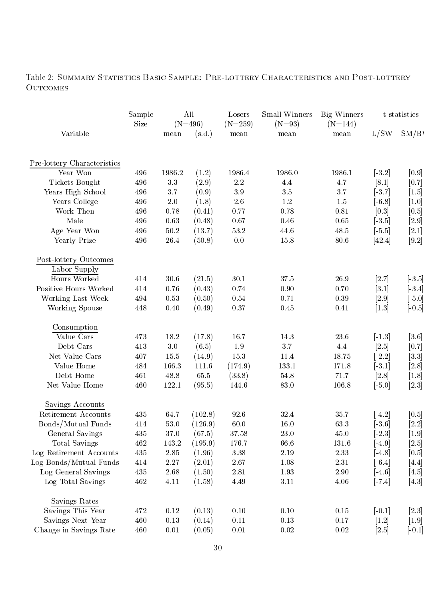Table 2: SUMMARY STATISTICS BASIC SAMPLE: PRE-LOTTERY CHARACTERISTICS AND POST-LOTTERY OUTCOMES

|                             | Sample |          | All                 | Losers            | Small Winners    | Big Winners       |                       | t-statistics        |
|-----------------------------|--------|----------|---------------------|-------------------|------------------|-------------------|-----------------------|---------------------|
| Variable                    | Size   | mean     | $(N=496)$<br>(s.d.) | $(N=259)$<br>mean | $(N=93)$<br>mean | $(N=144)$<br>mean | L/SW                  | SM/B                |
|                             |        |          |                     |                   |                  |                   |                       |                     |
| Pre-lottery Characteristics |        |          |                     |                   |                  |                   |                       |                     |
| Year Won                    | 496    | 1986.2   | (1.2)               | 1986.4            | 1986.0           | 1986.1            | $[-3.2]$              | $[0.9]$             |
| <b>Tickets Bought</b>       | 496    | $3.3\,$  | (2.9)               | $2.2\,$           | 4.4              | 4.7               | [8.1]                 | [0.7]               |
| Years High School           | 496    | 3.7      | (0.9)               | 3.9               | $3.5\,$          | 3.7               | $\left[ -3.7\right]$  | $[1.5]$             |
| Years College               | 496    | $2.0\,$  | (1.8)               | $2.6\,$           | $1.2\,$          | $1.5\,$           | $\left[ -6.8 \right]$ | $\left[1.0\right]$  |
| Work Then                   | 496    | 0.78     | (0.41)              | 0.77              | 0.78             | 0.81              | [0.3]                 | [0.5]               |
| Male                        | 496    | 0.63     | (0.48)              | 0.67              | 0.46             | $0.65\,$          | $\left[-3.5\right]$   | $[2.9]$             |
| Age Year Won                | 496    | 50.2     | (13.7)              | 53.2              | 44.6             | 48.5              | $[-5.5]$              | $[2.1]$             |
| Yearly Prize                | 496    | 26.4     | (50.8)              | 0.0               | 15.8             | 80.6              | [42.4]                | $[9.2]$             |
| Post-lottery Outcomes       |        |          |                     |                   |                  |                   |                       |                     |
| Labor Supply                |        |          |                     |                   |                  |                   |                       |                     |
| Hours Worked                | 414    | 30.6     | (21.5)              | 30.1              | 37.5             | 26.9              | [2.7]                 | $\left[-3.5\right]$ |
| Positive Hours Worked       | 414    | 0.76     | (0.43)              | 0.74              | 0.90             | $0.70\,$          | $\left[3.1\right]$    | $[-3.4]$            |
| Working Last Week           | 494    | 0.53     | (0.50)              | $0.54\,$          | 0.71             | $\rm 0.39$        | [2.9]                 | $[-5.0]$            |
| Working Spouse              | 448    | $0.40\,$ | (0.49)              | $0.37\,$          | $0.45\,$         | 0.41              | $[1.3]$               | $[-0.5]$            |
| Consumption                 |        |          |                     |                   |                  |                   |                       |                     |
| Value Cars                  | 473    | 18.2     | (17.8)              | 16.7              | 14.3             | $23.6\,$          | $[-1.3]$              | $[3.6]$             |
| Debt Cars                   | 413    | $3.0\,$  | (6.5)               | $1.9\,$           | 3.7              | 4.4               | $[2.5]$               | $[0.7]$             |
| Net Value Cars              | 407    | $15.5\,$ | (14.9)              | $15.3\,$          | $11.4\,$         | 18.75             | $\lfloor 2.2 \rfloor$ | $[3.3]$             |
| Value Home                  | 484    | 166.3    | 111.6               | (174.9)           | 133.1            | 171.8             | $\left[ -3,1\right]$  | $[2.8]$             |
| Debt Home                   | 461    | 48.8     | 65.5                | (33.8)            | 54.8             | 71.7              | [2.8]                 | $[1.8]$             |
| Net Value Home              | 460    | 122.1    | (95.5)              | 144.6             | 83.0             | 106.8             | $[-5.0]$              | $[2.3]$             |
| Savings Accounts            |        |          |                     |                   |                  |                   |                       |                     |
| Retirement Accounts         | 435    | 64.7     | (102.8)             | 92.6              | 32.4             | 35.7              | $\left[ -4.2\right]$  | $[0.5]$             |
| Bonds/Mutual Funds          | 414    | 53.0     | (126.9)             | 60.0              | $16.0\,$         | 63.3              | $[\![\text{-}3.6]\!]$ | $[2.2]$             |
| General Savings             | 435    | 37.0     | (67.5)              | 37.58             | $23.0\,$         | 45.0              | $\left[-2.3\right]$   | $\left[1.9\right]$  |
| Total Savings               | 462    | 143.2    | (195.9)             | 176.7             | $66.6\,$         | 131.6             | $[-4.9]$              | $[2.5]$             |
| Log Retirement Accounts     | 435    | 2.85     | (1.96)              | $3.38\,$          | 2.19             | $2.33\,$          | $\left[ -4.8 \right]$ | $[0.5]$             |
| Log Bonds/Mutual Funds      | 414    | 2.27     | (2.01)              | 2.67              | $1.08\,$         | $2.31\,$          | $[-6.4]$              | $[4.4]$             |
| Log General Savings         | 435    | 2.68     | (1.50)              | $2.81\,$          | 1.93             | $2.90\,$          | $\left[ -4.6\right]$  | $[4.5]$             |
| Log Total Savings           | 462    | 4.11     | (1.58)              | 4.49              | 3.11             | 4.06              | $[-7.4]$              | $[4.3]$             |
| Savings Rates               |        |          |                     |                   |                  |                   |                       |                     |
| Savings This Year           | 472    | 0.12     | (0.13)              | 0.10              | $0.10\,$         | $0.15\,$          | $[-0.1]$              | $[2.3]$             |
| Savings Next Year           | 460    | 0.13     | (0.14)              | $0.11\,$          | $0.13\,$         | 0.17              | [1.2]                 | $[1.9]$             |
| Change in Savings Rate      | 460    | $0.01\,$ | (0.05)              | $0.01\,$          | $0.02\,$         | $0.02\,$          | [2.5]                 | $[-0.1]$            |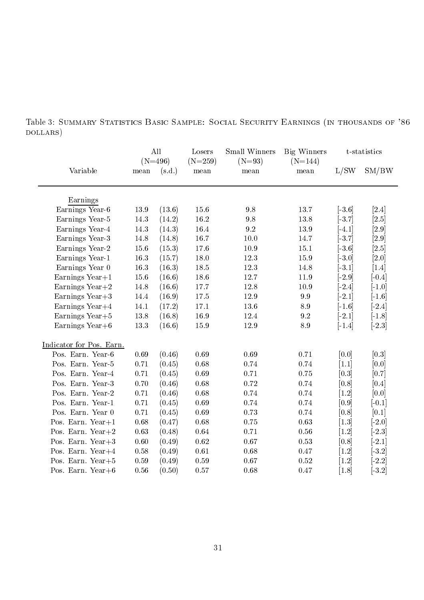|                          |                | All<br>$(N=496)$ | Losers<br>$(N=259)$ | Small Winners<br>$(N=93)$ | Big Winners<br>$(N=144)$ |                     | t-statistics          |
|--------------------------|----------------|------------------|---------------------|---------------------------|--------------------------|---------------------|-----------------------|
| Variable                 | $_{\rm{mean}}$ | (s.d.)           | mean                | mean                      | $\operatorname{mean}$    | L/SW                | SM/BW                 |
| Earnings                 |                |                  |                     |                           |                          |                     |                       |
| Earnings Year-6          | 13.9           | (13.6)           | $15.6\,$            | $9.8\,$                   | 13.7                     | $[-3.6]$            | $[2.4]$               |
| Earnings Year-5          | 14.3           | (14.2)           | $16.2\,$            | $9.8\,$                   | 13.8                     | $[-3.7]$            | [2.5]                 |
| Earnings Year-4          | 14.3           | (14.3)           | 16.4                | 9.2                       | 13.9                     | $[-4.1]$            | $[2.9]$               |
| Earnings Year-3          | 14.8           | (14.8)           | 16.7                | 10.0                      | 14.7                     | $[-3.7]$            | [2.9]                 |
| Earnings Year-2          | 15.6           | (15.3)           | 17.6                | $10.9\,$                  | 15.1                     | $[-3.6]$            | [2.5]                 |
| Earnings Year-1          | $16.3\,$       | (15.7)           | $18.0\,$            | 12.3                      | 15.9                     | $[-3.0]$            | [2.0]                 |
| Earnings Year 0          | $16.3\,$       | (16.3)           | $18.5\,$            | 12.3                      | 14.8                     | $[-3.1]$            | $[1.4]$               |
| Earnings $Year+1$        | 15.6           | (16.6)           | $18.6\,$            | 12.7                      | 11.9                     | $\left[-2.9\right]$ | $[-0.4]$              |
| Earnings Year $+2$       | 14.8           | (16.6)           | 17.7                | 12.8                      | 10.9                     | $\lceil 2.4 \rceil$ | $[-1.0]$              |
| Earnings Year $+3$       | 14.4           | (16.9)           | $17.5\,$            | 12.9                      | $\boldsymbol{9.9}$       | $\lceil 2.1 \rceil$ | $[-1.6]$              |
| Earnings Year $+4$       | 14.1           | (17.2)           | 17.1                | 13.6                      | 8.9                      | $[-1.6]$            | $\left[-2.4\right]$   |
| Earnings Year $+5$       | 13.8           | (16.8)           | $16.9\,$            | 12.4                      | 9.2                      | $[-2.1]$            | $\lceil -1.8 \rceil$  |
| Earnings Year $+6$       | 13.3           | (16.6)           | 15.9                | 12.9                      | $\!\!\!\!\!8.9$          | $[-1.4]$            | $\lfloor 2.3 \rfloor$ |
| Indicator for Pos. Earn. |                |                  |                     |                           |                          |                     |                       |
| Pos. Earn. Year-6        | $\,0.69\,$     | (0.46)           | 0.69                | 0.69                      | 0.71                     | [0.0]               | [0.3]                 |
| Pos. Earn. Year-5        | 0.71           | (0.45)           | $0.68\,$            | 0.74                      | 0.74                     | $\left[1.1\right]$  | [0.0]                 |
| Pos. Earn. Year-4        | 0.71           | (0.45)           | 0.69                | 0.71                      | 0.75                     | [0.3]               | [0.7]                 |
| Pos. Earn. Year-3        | 0.70           | (0.46)           | $0.68\,$            | $0.72\,$                  | 0.74                     | [0.8]               | [0.4]                 |
| Pos. Earn. Year-2        | 0.71           | (0.46)           | $0.68\,$            | 0.74                      | 0.74                     | $[1.2]$             | [0.0]                 |
| Pos. Earn. Year-1        | 0.71           | (0.45)           | 0.69                | 0.74                      | 0.74                     | [0.9]               | $[-0.1]$              |
| Pos. Earn. Year 0        | 0.71           | (0.45)           | $0.69\,$            | 0.73                      | 0.74                     | [0.8]               | [0.1]                 |
| Pos. Earn. Year $+1$     | $0.68\,$       | (0.47)           | $0.68\,$            | $0.75\,$                  | 0.63                     | $[1.3]$             | $[-2.0]$              |
| Pos. Earn. Year $+2$     | $\,0.63\,$     | (0.48)           | $\,0.64\,$          | 0.71                      | 0.56                     | [1.2]               | $\lfloor 2.3 \rfloor$ |
| Pos. Earn. Year+3        | $0.60\,$       | (0.49)           | $\,0.62\,$          | $0.67\,$                  | 0.53                     | [0.8]               | $\lfloor 2.1 \rfloor$ |
| Pos. Earn. Year+4        | $0.58\,$       | (0.49)           | $0.61\,$            | 0.68                      | $0.47\,$                 | [1.2]               | $[-3.2]$              |
| Pos. Earn. Year+5        | $0.59\,$       | (0.49)           | $0.59\,$            | $0.67\,$                  | 0.52                     | $[1.2]$             | $[-2.2]$              |
| Pos. Earn. Year+ $6$     | 0.56           | (0.50)           | 0.57                | 0.68                      | 0.47                     | $\left[1.8\right]$  | $[-3.2]$              |
|                          |                |                  |                     |                           |                          |                     |                       |

Table 3: Summary Statistics Basic Sample: Social Security Earnings (in thousands of '86 dollars)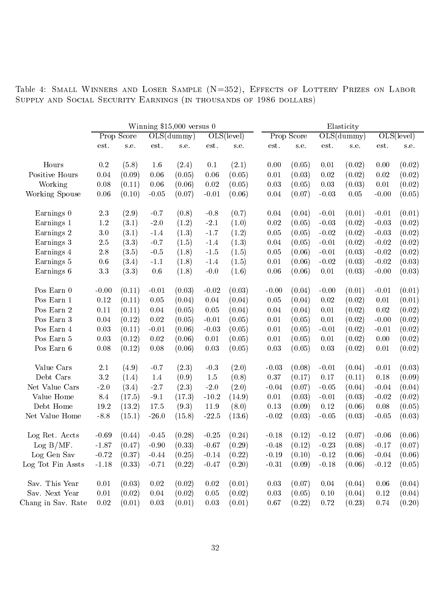Table 4: SMALL WINNERS AND LOSER SAMPLE (N=352), EFFECTS OF LOTTERY PRIZES ON LABOR Supply and Social Security Earnings (in thousands of <sup>1986</sup> dollars)

|                    |           |            |                              | Winning $$15,000$ versus 0 |          |               | Elasticity |            |          |            |         |            |  |
|--------------------|-----------|------------|------------------------------|----------------------------|----------|---------------|------------|------------|----------|------------|---------|------------|--|
|                    |           | Prop Score |                              | OLS(dummy)                 |          | $OLS$ (level) |            | Prop Score |          | OLS(dummy) |         | OLS(level) |  |
|                    | est.      | s.e.       | $\mathop{\rm est}\nolimits.$ | s.e.                       | est.     | s.e.          | est.       | s.e.       | est.     | s.e.       | est.    | s.e.       |  |
| Hours              | $\rm 0.2$ | (5.8)      | 1.6                          | (2.4)                      | 0.1      | (2.1)         | 0.00       | (0.05)     | 0.01     | (0.02)     | 0.00    | (0.02)     |  |
| Positive Hours     | 0.04      | (0.09)     | 0.06                         | (0.05)                     | 0.06     | (0.05)        | $0.01\,$   | (0.03)     | 0.02     | (0.02)     | 0.02    | (0.02)     |  |
| Working            | 0.08      | (0.11)     | 0.06                         | (0.06)                     | 0.02     | (0.05)        | 0.03       | (0.05)     | 0.03     | (0.03)     | 0.01    | (0.02)     |  |
| Working Spouse     | 0.06      | (0.10)     | $-0.05$                      | (0.07)                     | $-0.01$  | (0.06)        | 0.04       | (0.07)     | $-0.03$  | 0.05       | $-0.00$ | (0.05)     |  |
| Earnings 0         | $2.3\,$   | (2.9)      | $-0.7$                       | (0.8)                      | $-0.8$   | (0.7)         | 0.04       | (0.04)     | $-0.01$  | (0.01)     | $-0.01$ | (0.01)     |  |
| Earnings 1         | $1.2\,$   | (3.1)      | $-2.0$                       | (1.2)                      | $-2.1$   | (1.0)         | 0.02       | (0.05)     | $-0.03$  | (0.02)     | $-0.03$ | (0.02)     |  |
| Earnings 2         | 3.0       | (3.1)      | $-1.4$                       | (1.3)                      | $-1.7$   | (1.2)         | 0.05       | (0.05)     | $-0.02$  | (0.02)     | $-0.03$ | (0.02)     |  |
| Earnings 3         | $2.5\,$   | (3.3)      | $-0.7$                       | (1.5)                      | $-1.4$   | (1.3)         | 0.04       | (0.05)     | $-0.01$  | (0.02)     | $-0.02$ | (0.02)     |  |
| Earnings 4         | $2.8\,$   | (3.5)      | $-0.5$                       | (1.8)                      | $-1.5$   | (1.5)         | $0.05\,$   | (0.06)     | $-0.01$  | (0.03)     | $-0.02$ | (0.02)     |  |
| Earnings 5         | 0.6       | (3.4)      | $-1.1$                       | (1.8)                      | $-1.4$   | (1.5)         | $0.01\,$   | (0.06)     | $-0.02$  | (0.03)     | $-0.02$ | (0.03)     |  |
| Earnings 6         | $3.3\,$   | (3.3)      | $0.6\,$                      | (1.8)                      | $-0.0$   | (1.6)         | $0.06\,$   | (0.06)     | $0.01\,$ | (0.03)     | $-0.00$ | (0.03)     |  |
| Pos Earn 0         | $-0.00$   | (0.11)     | $-0.01$                      | (0.03)                     | $-0.02$  | (0.03)        | $-0.00$    | (0.04)     | $-0.00$  | (0.01)     | $-0.01$ | (0.01)     |  |
| Pos Earn 1         | 0.12      | (0.11)     | 0.05                         | (0.04)                     | 0.04     | (0.04)        | 0.05       | (0.04)     | 0.02     | (0.02)     | 0.01    | (0.01)     |  |
| Pos Earn 2         | 0.11      | (0.11)     | 0.04                         | (0.05)                     | 0.05     | (0.04)        | 0.04       | (0.04)     | 0.01     | (0.02)     | 0.02    | (0.02)     |  |
| Pos Earn 3         | 0.04      | (0.12)     | 0.02                         | (0.05)                     | $-0.01$  | (0.05)        | $0.01\,$   | (0.05)     | 0.01     | (0.02)     | $-0.00$ | (0.02)     |  |
| Pos Earn 4         | 0.03      | (0.11)     | $-0.01$                      | (0.06)                     | $-0.03$  | (0.05)        | $0.01\,$   | (0.05)     | $-0.01$  | (0.02)     | $-0.01$ | (0.02)     |  |
| Pos Earn 5         | 0.03      | (0.12)     | 0.02                         | (0.06)                     | $0.01\,$ | (0.05)        | $0.01\,$   | (0.05)     | $0.01\,$ | (0.02)     | 0.00    | (0.02)     |  |
| Pos Earn 6         | 0.08      | (0.12)     | 0.08                         | (0.06)                     | 0.03     | (0.05)        | $\rm 0.03$ | (0.05)     | 0.03     | (0.02)     | 0.01    | (0.02)     |  |
| Value Cars         | $2.1\,$   | (4.9)      | $-0.7$                       | (2.3)                      | $-0.3$   | (2.0)         | $-0.03$    | (0.08)     | $-0.01$  | (0.04)     | $-0.01$ | (0.03)     |  |
| Debt Cars          | $3.2\,$   | (1.4)      | 1.4                          | (0.9)                      | 1.5      | (0.8)         | 0.37       | (0.17)     | 0.17     | (0.11)     | 0.18    | (0.09)     |  |
| Net Value Cars     | $-2.0$    | (3.4)      | $-2.7$                       | (2.3)                      | $-2.0$   | (2.0)         | $-0.04$    | (0.07)     | $-0.05$  | (0.04)     | $-0.04$ | (0.04)     |  |
| Value Home         | 8.4       | (17.5)     | $-9.1$                       | (17.3)                     | $-10.2$  | (14.9)        | $0.01\,$   | (0.03)     | $-0.01$  | (0.03)     | $-0.02$ | (0.02)     |  |
| Debt Home          | 19.2      | (13.2)     | 17.5                         | (9.3)                      | 11.9     | (8.0)         | $0.13\,$   | (0.09)     | 0.12     | (0.06)     | 0.08    | (0.05)     |  |
| Net Value Home     | $-8.8$    | (15.1)     | $-26.0$                      | (15.8)                     | $-22.5$  | (13.6)        | $-0.02$    | (0.03)     | $-0.05$  | (0.03)     | $-0.05$ | (0.03)     |  |
| Log Ret. Accts     | $-0.69$   | (0.44)     | $-0.45$                      | (0.28)                     | $-0.25$  | (0.24)        | $-0.18$    | (0.12)     | $-0.12$  | (0.07)     | $-0.06$ | (0.06)     |  |
| $Log B/MF$ .       | $-1.87$   | (0.47)     | $-0.90$                      | (0.33)                     | $-0.67$  | (0.29)        | $-0.48$    | (0.12)     | $-0.23$  | (0.08)     | $-0.17$ | (0.07)     |  |
| Log Gen Sav        | $-0.72$   | (0.37)     | $-0.44$                      | (0.25)                     | $-0.14$  | (0.22)        | $-0.19$    | (0.10)     | $-0.12$  | (0.06)     | $-0.04$ | (0.06)     |  |
| Log Tot Fin Assts  | $-1.18$   | (0.33)     | $-0.71$                      | (0.22)                     | $-0.47$  | (0.20)        | $-0.31$    | (0.09)     | $-0.18$  | (0.06)     | $-0.12$ | (0.05)     |  |
| Sav. This Year     | 0.01      | (0.03)     | 0.02                         | (0.02)                     | $0.02\,$ | (0.01)        | 0.03       | (0.07)     | 0.04     | (0.04)     | 0.06    | (0.04)     |  |
| Sav. Next Year     | 0.01      | (0.02)     | 0.04                         | (0.02)                     | $0.05\,$ | (0.02)        | $0.03\,$   | (0.05)     | 0.10     | (0.04)     | 0.12    | (0.04)     |  |
| Chang in Sav. Rate | $0.02\,$  | (0.01)     | 0.03                         | (0.01)                     | 0.03     | (0.01)        | 0.67       | (0.22)     | 0.72     | (0.23)     | 0.74    | (0.20)     |  |
|                    |           |            |                              |                            |          |               |            |            |          |            |         |            |  |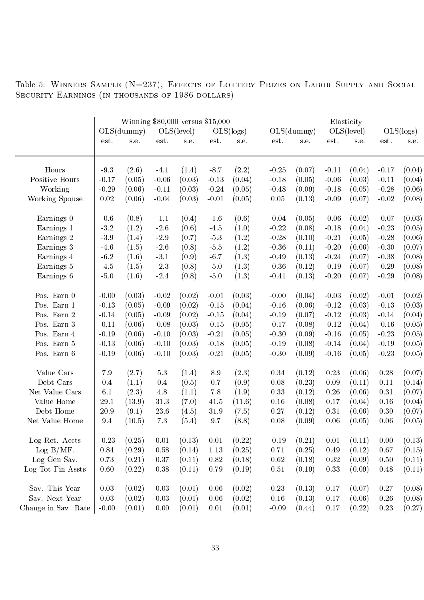|                     | Winning \$80,000 versus \$15,000<br>OLS(level)<br>OLS(dummy) |        |         |        | OLS(dummy)<br>OLS(logs) |        |          |        | Elasticity<br>OLS(level) |        |         |           |
|---------------------|--------------------------------------------------------------|--------|---------|--------|-------------------------|--------|----------|--------|--------------------------|--------|---------|-----------|
|                     |                                                              |        |         |        |                         |        |          |        |                          |        |         | OLS(logs) |
|                     | est.                                                         | s.e.   | est.    | s.e.   | est.                    | s.e.   | est.     | s.e.   | est.                     | s.e.   | est.    | s.e.      |
| Hours               | $-9.3$                                                       | (2.6)  | $-4.1$  | (1.4)  | $-8.7$                  | (2.2)  | $-0.25$  | (0.07) | $-0.11$                  | (0.04) | $-0.17$ | (0.04)    |
| Positive Hours      | $-0.17$                                                      | (0.05) | $-0.06$ | (0.03) | $-0.13$                 | (0.04) | $-0.18$  | (0.05) | $-0.06$                  | (0.03) | $-0.11$ | (0.04)    |
| Working             | $-0.29$                                                      | (0.06) | $-0.11$ | (0.03) | $-0.24$                 | (0.05) | $-0.48$  | (0.09) | $-0.18$                  | (0.05) | $-0.28$ | (0.06)    |
| Working Spouse      | $0.02\,$                                                     | (0.06) | $-0.04$ | (0.03) | $-0.01$                 | (0.05) | $0.05\,$ | (0.13) | $-0.09$                  | (0.07) | $-0.02$ | (0.08)    |
| Earnings 0          | $-0.6$                                                       | (0.8)  | $-1.1$  | (0.4)  | $-1.6$                  | (0.6)  | $-0.04$  | (0.05) | $-0.06$                  | (0.02) | $-0.07$ | (0.03)    |
| Earnings 1          | $-3.2$                                                       | (1.2)  | $-2.6$  | (0.6)  | $-4.5$                  | (1.0)  | $-0.22$  | (0.08) | $-0.18$                  | (0.04) | $-0.23$ | (0.05)    |
| Earnings 2          | $-3.9$                                                       | (1.4)  | $-2.9$  | (0.7)  | $-5.3$                  | (1.2)  | $-0.28$  | (0.10) | $-0.21$                  | (0.05) | $-0.28$ | (0.06)    |
| Earnings 3          | $-4.6$                                                       | (1.5)  | $-2.6$  | (0.8)  | $-5.5$                  | (1.2)  | $-0.36$  | (0.11) | $-0.20$                  | (0.06) | $-0.30$ | (0.07)    |
| Earnings 4          | $-6.2$                                                       | (1.6)  | $-3.1$  | (0.9)  | $-6.7$                  | (1.3)  | $-0.49$  | (0.13) | $-0.24$                  | (0.07) | $-0.38$ | (0.08)    |
| Earnings 5          | $-4.5$                                                       | (1.5)  | $-2.3$  | (0.8)  | $-5.0$                  | (1.3)  | $-0.36$  | (0.12) | $-0.19$                  | (0.07) | $-0.29$ | (0.08)    |
| Earnings 6          | $-5.0$                                                       | (1.6)  | $-2.4$  | (0.8)  | $-5.0$                  | (1.3)  | $-0.41$  | (0.13) | $-0.20$                  | (0.07) | $-0.29$ | (0.08)    |
|                     |                                                              |        |         |        |                         |        |          |        |                          |        |         |           |
| Pos. Earn 0         | $-0.00$                                                      | (0.03) | $-0.02$ | (0.02) | $-0.01$                 | (0.03) | $-0.00$  | (0.04) | $-0.03$                  | (0.02) | $-0.01$ | (0.02)    |
| Pos. Earn 1         | $-0.13$                                                      | (0.05) | $-0.09$ | (0.02) | $-0.15$                 | (0.04) | $-0.16$  | (0.06) | $-0.12$                  | (0.03) | $-0.13$ | (0.03)    |
| Pos. Earn 2         | $-0.14$                                                      | (0.05) | $-0.09$ | (0.02) | $-0.15$                 | (0.04) | $-0.19$  | (0.07) | $-0.12$                  | (0.03) | $-0.14$ | (0.04)    |
| Pos. Earn 3         | $-0.11$                                                      | (0.06) | $-0.08$ | (0.03) | $-0.15$                 | (0.05) | $-0.17$  | (0.08) | $-0.12$                  | (0.04) | $-0.16$ | (0.05)    |
| Pos. Earn 4         | $-0.19$                                                      | (0.06) | $-0.10$ | (0.03) | $-0.21$                 | (0.05) | $-0.30$  | (0.09) | $-0.16$                  | (0.05) | $-0.23$ | (0.05)    |
| Pos. Earn 5         | $-0.13$                                                      | (0.06) | $-0.10$ | (0.03) | $-0.18$                 | (0.05) | $-0.19$  | (0.08) | $-0.14$                  | (0.04) | $-0.19$ | (0.05)    |
| Pos. Earn 6         | $-0.19$                                                      | (0.06) | $-0.10$ | (0.03) | $-0.21$                 | (0.05) | $-0.30$  | (0.09) | $-0.16$                  | (0.05) | $-0.23$ | (0.05)    |
| Value Cars          | 7.9                                                          | (2.7)  | $5.3\,$ | (1.4)  | 8.9                     | (2.3)  | 0.34     | (0.12) | 0.23                     | (0.06) | 0.28    | (0.07)    |
| Debt Cars           | 0.4                                                          | (1.1)  | 0.4     | (0.5)  | 0.7                     | (0.9)  | 0.08     | (0.23) | 0.09                     | (0.11) | 0.11    | (0.14)    |
| Net Value Cars      | 6.1                                                          | (2.3)  | 4.8     | (1.1)  | 7.8                     | (1.9)  | 0.33     | (0.12) | 0.26                     | (0.06) | 0.31    | (0.07)    |
| Value Home          | 29.1                                                         | (13.9) | 31.3    | (7.0)  | 41.5                    | (11.6) | 0.16     | (0.08) | 0.17                     | (0.04) | 0.16    | (0.04)    |
| Debt Home           | 20.9                                                         | (9.1)  | 23.6    | (4.5)  | 31.9                    | (7.5)  | 0.27     | (0.12) | 0.31                     | (0.06) | 0.30    | (0.07)    |
| Net Value Home      | 9.4                                                          | (10.5) | $7.3\,$ | (5.4)  | 9.7                     | (8.8)  | 0.08     | (0.09) | 0.06                     | (0.05) | 0.06    | (0.05)    |
|                     |                                                              |        |         |        |                         |        |          |        |                          |        |         |           |
| Log Ret. Accts      | $-0.23$                                                      | (0.25) | 0.01    | (0.13) | 0.01                    | (0.22) | $-0.19$  | (0.21) | 0.01                     | (0.11) | 0.00    | (0.13)    |
| $Log B/MF$ .        | 0.84                                                         | (0.29) | 0.58    | (0.14) | 1.13                    | (0.25) | 0.71     | (0.25) | 0.49                     | (0.12) | 0.67    | (0.15)    |
| Log Gen Sav.        | 0.73                                                         | (0.21) | 0.37    | (0.11) | 0.82                    | (0.18) | 0.62     | (0.18) | 0.32                     | (0.09) | 0.50    | (0.11)    |
| Log Tot Fin Assts   | 0.60                                                         | (0.22) | 0.38    | (0.11) | 0.79                    | (0.19) | 0.51     | (0.19) | 0.33                     | (0.09) | 0.48    | (0.11)    |
| Sav. This Year      | $\rm 0.03$                                                   | (0.02) | 0.03    | (0.01) | 0.06                    | (0.02) | 0.23     | (0.13) | 0.17                     | (0.07) | 0.27    | (0.08)    |
| Sav. Next Year      | 0.03                                                         | (0.02) | 0.03    | (0.01) | 0.06                    | (0.02) | 0.16     | (0.13) | 0.17                     | (0.06) | 0.26    | (0.08)    |
| Change in Sav. Rate | $-0.00$                                                      | (0.01) | 0.00    | (0.01) | 0.01                    | (0.01) | $-0.09$  | (0.44) | $0.17\,$                 | (0.22) | 0.23    | (0.27)    |
|                     |                                                              |        |         |        |                         |        |          |        |                          |        |         |           |

Table 5: WINNERS SAMPLE (N=237), EFFECTS OF LOTTERY PRIZES ON LABOR SUPPLY AND SOCIAL Security Earnings (in thousands of <sup>1986</sup> dollars)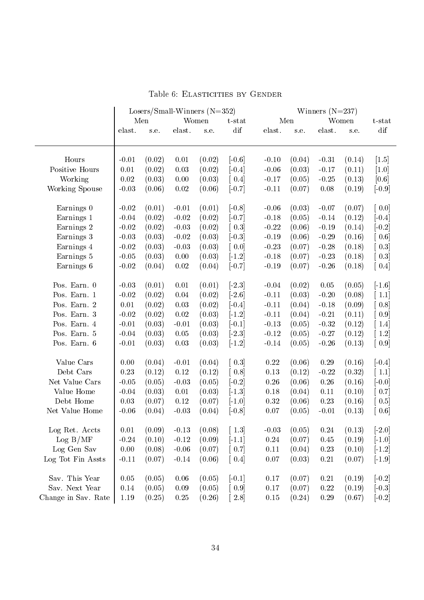|                     | Losers/Small-Winners $(N=352)$ |        |          |        | Winners $(N=237)$                                 |            |        |          |        |                                     |  |
|---------------------|--------------------------------|--------|----------|--------|---------------------------------------------------|------------|--------|----------|--------|-------------------------------------|--|
|                     |                                | Men    |          | Women  | $t$ -stat                                         |            | Men    |          | Women  | $t$ -stat                           |  |
|                     | elast.                         | s.e.   | elast.   | s.e.   | dif                                               | elast.     | s.e.   | elast.   | s.e.   | dif                                 |  |
| Hours               | $-0.01$                        | (0.02) | 0.01     | (0.02) | $[-0.6]$                                          | $-0.10$    | (0.04) | $-0.31$  | (0.14) | $\vert 1.5 \vert$                   |  |
| Positive Hours      | 0.01                           | (0.02) | 0.03     | (0.02) | $[-0.4]$                                          | $-0.06$    | (0.03) | $-0.17$  | (0.11) | [1.0]                               |  |
| Working             | $0.02\,$                       | (0.03) | 0.00     | (0.03) | $\left[0.4\right]$                                | $-0.17$    | (0.05) | $-0.25$  | (0.13) | [0.6]                               |  |
| Working Spouse      | $-0.03$                        | (0.06) | $0.02\,$ | (0.06) | $[-0.7]$                                          | $-0.11$    | (0.07) | 0.08     | (0.19) | $[-0.9]$                            |  |
| Earnings 0          | $-0.02$                        | (0.01) | $-0.01$  | (0.01) | $[-0.8]$                                          | $-0.06$    | (0.03) | $-0.07$  | (0.07) | [0.0]                               |  |
| Earnings 1          | $-0.04$                        | (0.02) | $-0.02$  | (0.02) | $[-0.7]$                                          | $-0.18$    | (0.05) | $-0.14$  | (0.12) | $[-0.4]$                            |  |
| Earnings 2          | $-0.02$                        | (0.02) | $-0.03$  | (0.02) | $\left[0.3\right]$                                | $-0.22$    | (0.06) | $-0.19$  | (0.14) | $\lceil -0.2 \rceil$                |  |
| Earnings 3          | $-0.03$                        | (0.03) | $-0.02$  | (0.03) | $\lceil -0.3 \rceil$                              | $-0.19$    | (0.06) | $-0.29$  | (0.16) | [0.6]                               |  |
| Earnings 4          | $-0.02$                        | (0.03) | $-0.03$  | (0.03) | $\left[ 0.0 \right]$                              | $-0.23$    | (0.07) | $-0.28$  | (0.18) | 0.3                                 |  |
| Earnings 5          | $-0.05$                        | (0.03) | $0.00\,$ | (0.03) | $[-1.2]$                                          | $-0.18$    | (0.07) | $-0.23$  | (0.18) | $\begin{bmatrix} 0.3 \end{bmatrix}$ |  |
| Earnings 6          | $-0.02$                        | (0.04) | $0.02\,$ | (0.04) | $[-0.7]$                                          | $-0.19$    | (0.07) | $-0.26$  | (0.18) | $\left[0.4\right]$                  |  |
| Pos. Earn. 0        | $-0.03$                        | (0.01) | $0.01\,$ | (0.01) | $[-2.3]$                                          | $-0.04$    | (0.02) | $0.05\,$ | (0.05) | $[-1.6]$                            |  |
| Pos. Earn. 1        | $-0.02$                        | (0.02) | $0.04\,$ | (0.02) | $\lceil 2.6 \rceil$                               | $-0.11$    | (0.03) | $-0.20$  | (0.08) | $\lceil 1.1 \rceil$                 |  |
| Pos. Earn. 2        | 0.01                           | (0.02) | 0.03     | (0.02) | $[-0.4]$                                          | $-0.11$    | (0.04) | $-0.18$  | (0.09) | $\left[0.8\right]$                  |  |
| Pos. Earn. 3        | $-0.02$                        | (0.02) | $0.02\,$ | (0.03) | $[-1.2]$                                          | $-0.11$    | (0.04) | $-0.21$  | (0.11) | 0.9                                 |  |
| Pos. Earn. 4        | $-0.01$                        | (0.03) | $-0.01$  | (0.03) | $[-0.1]$                                          | $-0.13$    | (0.05) | $-0.32$  | (0.12) | $[1.4]$                             |  |
| Pos. Earn. 5        | $-0.04$                        | (0.03) | 0.05     | (0.03) | $[-2.3]$                                          | $-0.12$    | (0.05) | $-0.27$  | (0.12) | $\lceil 1.2 \rceil$                 |  |
| Pos. Earn. 6        | $-0.01$                        | (0.03) | 0.03     | (0.03) | $[-1.2]$                                          | $-0.14$    | (0.05) | $-0.26$  | (0.13) | $\left[0.9\right]$                  |  |
| Value Cars          | 0.00                           | (0.04) | $-0.01$  | (0.04) | $\left[0.3\right]$                                | 0.22       | (0.06) | 0.29     | (0.16) | $[-0.4]$                            |  |
| Debt Cars           | 0.23                           | (0.12) | $0.12\,$ | (0.12) | $\left[0.8\right]$                                | $0.13\,$   | (0.12) | $-0.22$  | (0.32) | $\lfloor 1.1 \rfloor$               |  |
| Net Value Cars      | $-0.05$                        | (0.05) | $-0.03$  | (0.05) | $[-0.2]$                                          | $0.26\,$   | (0.06) | 0.26     | (0.16) | $[-0.0]$                            |  |
| Value Home          | $-0.04$                        | (0.03) | $0.01\,$ | (0.03) | $\lceil 1.3 \rceil$                               | 0.18       | (0.04) | 0.11     | (0.10) | [0.7]                               |  |
| Debt Home           | 0.03                           | (0.07) | 0.12     | (0.07) | $[-1.0]$                                          | $\rm 0.32$ | (0.06) | 0.23     | (0.16) | [0.5]                               |  |
| Net Value Home      | $-0.06$                        | (0.04) | $-0.03$  | (0.04) | $[-0.8]$                                          | $0.07\,$   | (0.05) | $-0.01$  | (0.13) | $\left[ 0.6 \right]$                |  |
| Log Ret. Accts      | 0.01                           | (0.09) | $-0.13$  | (0.08) | $\left[ \begin{array}{c} 1.3 \end{array} \right]$ | $-0.03$    | (0.05) | 0.24     | (0.13) | $[-2.0]$                            |  |
| Log B/MF            | $-0.24$                        | (0.10) | $-0.12$  | (0.09) | $\left[ -1,1\right]$                              | $0.24\,$   | (0.07) | 0.45     | (0.19) | $[-1.0]$                            |  |
| Log Gen Sav         | 0.00                           | (0.08) | $-0.06$  | (0.07) | $\left[0.7\right]$                                | 0.11       | (0.04) | 0.23     | (0.10) | $[-1.2]$                            |  |
| Log Tot Fin Assts   | $-0.11$                        | (0.07) | $-0.14$  | (0.06) | $\left[0.4\right]$                                | $0.07\,$   | (0.03) | $0.21\,$ | (0.07) | $[-1.9]$                            |  |
| Sav. This Year      | 0.05                           | (0.05) | $0.06\,$ | (0.05) | $[-0.1]$                                          | 0.17       | (0.07) | 0.21     | (0.19) | $\left[-0.2\right]$                 |  |
| Sav. Next Year      | 0.14                           | (0.05) | 0.09     | (0.05) | $\left[0.9\right]$                                | $0.17\,$   | (0.07) | 0.22     | (0.19) | $[-0.3]$                            |  |
| Change in Sav. Rate | 1.19                           | (0.25) | 0.25     | (0.26) | 2.8                                               | $0.15\,$   | (0.24) | $0.29\,$ | (0.67) | $[-0.2]$                            |  |

Table 6: ELASTICITIES BY GENDER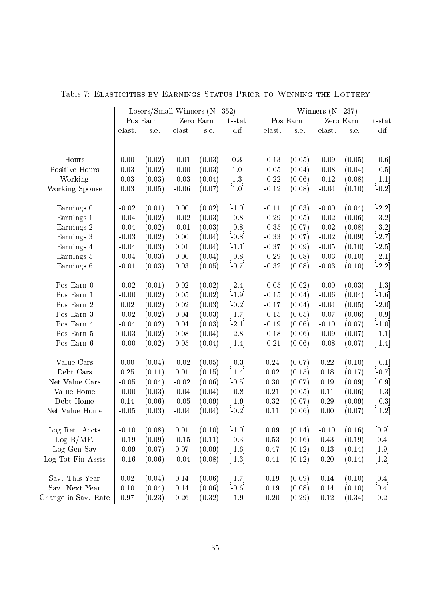|                     | Losers/Small-Winners $(N=352)$ |          |          |           |                                     | Winners $(N=237)$ |          |          |           |                       |  |  |
|---------------------|--------------------------------|----------|----------|-----------|-------------------------------------|-------------------|----------|----------|-----------|-----------------------|--|--|
|                     |                                | Pos Earn |          | Zero Earn | $t$ -stat                           |                   | Pos Earn |          | Zero Earn | $t$ -stat             |  |  |
|                     | elast.                         | s.e.     | elast.   | s.e.      | dif                                 | elast.            | s.e.     | elast.   | s.e.      | dif                   |  |  |
| Hours               | 0.00                           | (0.02)   | $-0.01$  | (0.03)    | [0.3]                               | $-0.13$           | (0.05)   | $-0.09$  | (0.05)    | $[-0.6]$              |  |  |
| Positive Hours      | 0.03                           | (0.02)   | $-0.00$  | (0.03)    | [1.0]                               | $-0.05$           | (0.04)   | $-0.08$  | (0.04)    | 0.5                   |  |  |
| Working             | 0.03                           | (0.03)   | $-0.03$  | (0.04)    | $[1.3]$                             | $-0.22$           | (0.06)   | $-0.12$  | (0.08)    | $[-1.1]$              |  |  |
| Working Spouse      | 0.03                           | (0.05)   | $-0.06$  | (0.07)    | $[1.0]$                             | $-0.12$           | (0.08)   | $-0.04$  | (0.10)    | $[-0.2]$              |  |  |
| Earnings 0          | $-0.02$                        | (0.01)   | $0.00\,$ | (0.02)    | $[-1.0]$                            | $-0.11$           | (0.03)   | $-0.00$  | (0.04)    | $\lfloor 2.2 \rfloor$ |  |  |
| Earnings 1          | $-0.04$                        | (0.02)   | $-0.02$  | (0.03)    | $[-0.8]$                            | $-0.29$           | (0.05)   | $-0.02$  | (0.06)    | $[-3.2]$              |  |  |
| Earnings 2          | $-0.04$                        | (0.02)   | $-0.01$  | (0.03)    | $\left[-0.8\right]$                 | $-0.35$           | (0.07)   | $-0.02$  | (0.08)    | $\lfloor 3.2 \rfloor$ |  |  |
| Earnings 3          | $-0.03$                        | (0.02)   | $0.00\,$ | (0.04)    | $[-0.8]$                            | $-0.33$           | (0.07)   | $-0.02$  | (0.09)    | $\lceil 2.7 \rceil$   |  |  |
| Earnings 4          | $-0.04$                        | (0.03)   | $0.01\,$ | (0.04)    | $[-1.1]$                            | $-0.37$           | (0.09)   | $-0.05$  | (0.10)    | $[-2.5]$              |  |  |
| Earnings 5          | $-0.04$                        | (0.03)   | 0.00     | (0.04)    | $[-0.8]$                            | $-0.29$           | (0.08)   | $-0.03$  | (0.10)    | $[-2.1]$              |  |  |
| Earnings 6          | $-0.01$                        | (0.03)   | $0.03\,$ | (0.05)    | $[-0.7]$                            | $-0.32$           | (0.08)   | $-0.03$  | (0.10)    | $[-2.2]$              |  |  |
| Pos Earn 0          | $-0.02$                        | (0.01)   | $0.02\,$ | (0.02)    | $[-2.4]$                            | $-0.05$           | (0.02)   | $-0.00$  | (0.03)    | $\lceil 1.3 \rceil$   |  |  |
| Pos Earn 1          | $-0.00$                        | (0.02)   | 0.05     | (0.02)    | $[-1.9]$                            | $-0.15$           | (0.04)   | $-0.06$  | (0.04)    | $[-1.6]$              |  |  |
| Pos Earn 2          | 0.02                           | (0.02)   | 0.02     | (0.03)    | $[-0.2]$                            | $-0.17$           | (0.04)   | $-0.04$  | (0.05)    | $\lceil 2.0 \rceil$   |  |  |
| Pos Earn 3          | $-0.02$                        | (0.02)   | $0.04\,$ | (0.03)    | $[-1.7]$                            | $-0.15$           | (0.05)   | $-0.07$  | (0.06)    | $[-0.9]$              |  |  |
| Pos Earn 4          | $-0.04$                        | (0.02)   | 0.04     | (0.03)    | $[-2.1]$                            | $-0.19$           | (0.06)   | $-0.10$  | (0.07)    | $[-1.0]$              |  |  |
| Pos Earn 5          | $-0.03$                        | (0.02)   | 0.08     | (0.04)    | $[-2.8]$                            | $-0.18$           | (0.06)   | $-0.09$  | (0.07)    | $[-1.1]$              |  |  |
| Pos Earn 6          | $-0.00$                        | (0.02)   | $0.05\,$ | (0.04)    | $[-1.4]$                            | $-0.21$           | (0.06)   | $-0.08$  | (0.07)    | $[-1.4]$              |  |  |
| Value Cars          | 0.00                           | (0.04)   | $-0.02$  | (0.05)    | $\left[0.3\right]$                  | $0.24\,$          | (0.07)   | $0.22\,$ | (0.10)    | [0.1]                 |  |  |
| Debt Cars           | $0.25\,$                       | (0.11)   | $0.01\,$ | (0.15)    | $\lceil 1.4 \rceil$                 | $0.02\,$          | (0.15)   | $0.18\,$ | (0.17)    | $[-0.7]$              |  |  |
| Net Value Cars      | $-0.05$                        | (0.04)   | $-0.02$  | (0.06)    | $[-0.5]$                            | $\rm 0.30$        | (0.07)   | $0.19\,$ | (0.09)    | [~0.9]                |  |  |
| Value Home          | $-0.00$                        | (0.03)   | $-0.04$  | (0.04)    | [0.8]                               | $0.21\,$          | (0.05)   | $0.11\,$ | (0.06)    | 1.3                   |  |  |
| Debt Home           | 0.14                           | (0.06)   | $-0.05$  | (0.09)    | [1.9]                               | $0.32\,$          | (0.07)   | $0.29\,$ | (0.09)    | $[\;\,0.3]$           |  |  |
| Net Value Home      | $-0.05$                        | (0.03)   | $-0.04$  | (0.04)    | $\left[-0.2\right]$                 | $0.11\,$          | (0.06)   | 0.00     | (0.07)    | 1.2                   |  |  |
| Log Ret. Accts      | $-0.10$                        | (0.08)   | $0.01\,$ | (0.10)    | $[-1.0]$                            | $0.09\,$          | (0.14)   | $-0.10$  | (0.16)    | [0.9]                 |  |  |
| $Log B/MF$ .        | $-0.19$                        | (0.09)   | $-0.15$  | (0.11)    | $[-0.3]$                            | 0.53              | (0.16)   | 0.43     | (0.19)    | [0.4]                 |  |  |
| Log Gen Sav         | $-0.09$                        | (0.07)   | $0.07\,$ | (0.09)    | $[-1.6]$                            | 0.47              | (0.12)   | 0.13     | (0.14)    | $\left[1.9\right]$    |  |  |
| Log Tot Fin Assts   | $-0.16$                        | (0.06)   | $-0.04$  | (0.08)    | $[-1.3]$                            | 0.41              | (0.12)   | $0.20\,$ | (0.14)    | $[1.2]$               |  |  |
| Sav. This Year      | 0.02                           | (0.04)   | $0.14\,$ | (0.06)    | $[-1.7]$                            | 0.19              | (0.09)   | 0.14     | (0.10)    | [0.4]                 |  |  |
| Sav. Next Year      | $0.10\,$                       | (0.04)   | 0.14     | (0.06)    | $[-0.6]$                            | $0.19\,$          | (0.08)   | 0.14     | (0.10)    | [0.4]                 |  |  |
| Change in Sav. Rate | 0.97                           | (0.23)   | $0.26\,$ | (0.32)    | $\begin{bmatrix} 1.9 \end{bmatrix}$ | $0.20\,$          | (0.29)   | $0.12\,$ | (0.34)    | [0.2]                 |  |  |

Table 7: ELASTICITIES BY EARNINGS STATUS PRIOR TO WINNING THE LOTTERY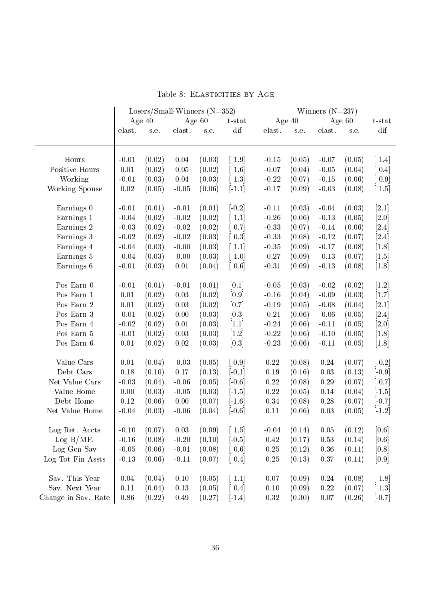|                     | Losers/Small-Winners $(N=352)$ |          |          |          |                      |            |          |                   |          |                     |
|---------------------|--------------------------------|----------|----------|----------|----------------------|------------|----------|-------------------|----------|---------------------|
|                     |                                | Age $40$ |          | Age $60$ | $t$ -stat            |            | Age $40$ | Winners $(N=237)$ | Age $60$ | t-stat              |
|                     | elast.                         | s.e.     | elast.   | s.e.     | dif                  | elast.     | s.e.     | elast.            | s.e.     | dif                 |
| Hours               | $-0.01$                        | (0.02)   | 0.04     | (0.03)   | $\lceil 1.9 \rceil$  | $-0.15$    | (0.05)   | $-0.07$           | (0.05)   | 1.4                 |
| Positive Hours      | 0.01                           | (0.02)   | 0.05     | (0.02)   | $\lceil 1.6 \rceil$  | $-0.07$    | (0.04)   | $-0.05$           | (0.04)   | [0.4]               |
| Working             | $-0.01$                        | (0.03)   | 0.04     | (0.03)   | $\left[ 1.3 \right]$ | $-0.22$    | (0.07)   | $-0.15$           | (0.06)   | [0.9]               |
| Working Spouse      | 0.02                           | (0.05)   | $-0.05$  | (0.06)   | $[-1.1]$             | $-0.17$    | (0.09)   | $-0.03$           | (0.08)   | $\lceil 1.5 \rceil$ |
| Earnings 0          | $-0.01$                        | (0.01)   | $-0.01$  | (0.01)   | $[-0.2]$             | $-0.11$    | (0.03)   | $-0.04$           | (0.03)   | $[2.1]$             |
| Earnings 1          | $-0.04$                        | (0.02)   | $-0.02$  | (0.02)   | $\lceil 1.1 \rceil$  | $-0.26$    | (0.06)   | $-0.13$           | (0.05)   | [2.0]               |
| Earnings 2          | $-0.03$                        | (0.02)   | $-0.02$  | (0.02)   | $\left[0.7\right]$   | $-0.33$    | (0.07)   | $-0.14$           | (0.06)   | $[2.4]$             |
| Earnings 3          | $-0.02$                        | (0.02)   | $-0.02$  | (0.03)   | 0.3                  | $-0.33$    | (0.08)   | $-0.12$           | (0.07)   | [2.4]               |
| Earnings 4          | $-0.04$                        | (0.03)   | $-0.00$  | (0.03)   | $\lceil 1.1 \rceil$  | $-0.35$    | (0.09)   | $-0.17$           | (0.08)   | $\left[1.8\right]$  |
| Earnings 5          | $-0.04$                        | (0.03)   | $-0.00$  | (0.03)   | $\lceil 1.0 \rceil$  | $-0.27$    | (0.09)   | $-0.13$           | (0.07)   | $[1.5]$             |
| Earnings 6          | $-0.01$                        | (0.03)   | $0.01\,$ | (0.04)   | $\left[0.6\right]$   | $-0.31$    | (0.09)   | $-0.13$           | (0.08)   | $\left[1.8\right]$  |
| Pos Earn 0          | $-0.01$                        | (0.01)   | $-0.01$  | (0.01)   | [0.1]                | $-0.05$    | (0.03)   | $-0.02$           | (0.02)   | $\left[1.2\right]$  |
| Pos Earn 1          | $0.01\,$                       | (0.02)   | 0.03     | (0.02)   | [0.9]                | $-0.16$    | (0.04)   | $-0.09$           | (0.03)   | $[1.7]$             |
| Pos Earn 2          | $0.01\,$                       | (0.02)   | 0.03     | (0.02)   | $[0.7]$              | $-0.19$    | (0.05)   | $-0.08$           | (0.04)   | [2.1]               |
| Pos Earn 3          | $-0.01$                        | (0.02)   | 0.00     | (0.03)   | $[0.3]$              | $-0.21$    | (0.06)   | $-0.06$           | (0.05)   | $[2.4]$             |
| Pos Earn 4          | $-0.02$                        | (0.02)   | 0.01     | (0.03)   | $[1.1]$              | $-0.24$    | (0.06)   | $-0.11$           | (0.05)   | [2.0]               |
| Pos Earn 5          | $-0.01$                        | (0.02)   | 0.03     | (0.03)   | [1.2]                | $-0.22$    | (0.06)   | $-0.10$           | (0.05)   | $\left[1.8\right]$  |
| Pos Earn 6          | $0.01\,$                       | (0.02)   | $0.02\,$ | (0.03)   | [0.3]                | $-0.23$    | (0.06)   | $-0.11$           | (0.05)   | $\left[1.8\right]$  |
| Value Cars          | $0.01\,$                       | (0.04)   | $-0.03$  | (0.05)   | $[-0.9]$             | 0.22       | (0.08)   | 0.24              | (0.07)   | 0.2                 |
| Debt Cars           | 0.18                           | (0.10)   | 0.17     | (0.13)   | $[-0.1]$             | $0.19\,$   | (0.16)   | $\,0.03\,$        | (0.13)   | $[-0.9]$            |
| Net Value Cars      | $-0.03$                        | (0.04)   | $-0.06$  | (0.05)   | $[-0.6]$             | $0.22\,$   | (0.08)   | $0.29\,$          | (0.07)   | [0.7]               |
| Value Home          | 0.00                           | (0.03)   | $-0.05$  | (0.03)   | $[-1.5]$             | $0.22\,$   | (0.05)   | 0.14              | (0.04)   | $[-1.5]$            |
| Debt Home           | 0.12                           | (0.06)   | 0.00     | (0.07)   | $[-1.6]$             | 0.34       | (0.08)   | 0.28              | (0.07)   | $[-0.7]$            |
| Net Value Home      | $-0.04$                        | (0.03)   | $-0.06$  | (0.04)   | $[-0.6]$             | $0.11\,$   | (0.06)   | 0.03              | (0.05)   | $[-1.2]$            |
| Log Ret. Accts      | $-0.10$                        | (0.07)   | 0.03     | (0.09)   | $\lceil 1.5 \rceil$  | $-0.04$    | (0.14)   | 0.05              | (0.12)   | [0.6]               |
| Log B/MF.           | $-0.16$                        | (0.08)   | $-0.20$  | (0.10)   | $[-0.5]$             | $0.42\,$   | (0.17)   | 0.53              | (0.14)   | [0.6]               |
| Log Gen Sav         | $-0.05$                        | (0.06)   | $-0.01$  | (0.08)   | [0.6]                | $0.25\,$   | (0.12)   | 0.36              | (0.11)   | [0.8]               |
| Log Tot Fin Assts   | $-0.13$                        | (0.06)   | $-0.11$  | (0.07)   | [0.4]                | $0.25\,$   | (0.13)   | 0.37              | (0.11)   | [0.9]               |
| Sav. This Year      | 0.04                           | (0.04)   | 0.10     | (0.05)   | $\lceil 1.1 \rceil$  | $0.07\,$   | (0.09)   | 0.24              | (0.08)   | 1.8                 |
| Sav. Next Year      | 0.11                           | (0.04)   | 0.13     | (0.05)   | [0.4]                | $0.10\,$   | (0.09)   | $0.22\,$          | (0.07)   | 1.3                 |
| Change in Sav. Rate | 0.86                           | (0.22)   | 0.49     | (0.27)   | $[-1.4]$             | $\rm 0.32$ | (0.30)   | 0.07              | (0.26)   | $[-0.7]$            |

Table 8: ELASTICITIES BY AGE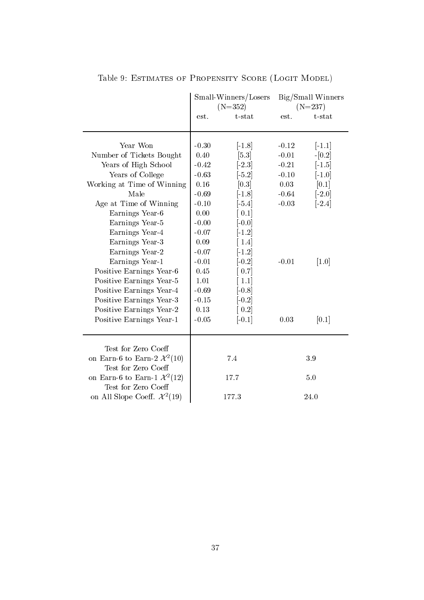|                                                                | Small-Winners/Losers<br>$(N=352)$ |                       |         | Big/Small Winners<br>$(N=237)$ |
|----------------------------------------------------------------|-----------------------------------|-----------------------|---------|--------------------------------|
|                                                                | est.                              | $t$ -stat             | est.    | $t$ -stat                      |
| Year Won                                                       | $-0.30$                           | $[-1.8]$              | $-0.12$ | $\lceil -1.1 \rceil$           |
| Number of Tickets Bought                                       | 0.40                              | [5.3]                 | $-0.01$ | $-[0.2]$                       |
| Years of High School                                           | $-0.42$                           | $[-2.3]$              | $-0.21$ | $\left[-1.5\right]$            |
| Years of College                                               | $-0.63$                           | $\lfloor 5.2 \rfloor$ | $-0.10$ | $[-1.0]$                       |
| Working at Time of Winning                                     | $0.16\,$                          | [0.3]                 | 0.03    | [0.1]                          |
| Male                                                           | $-0.69$                           | $[-1.8]$              | $-0.64$ | $[-2.0]$                       |
| Age at Time of Winning                                         | $-0.10$                           | $[-5.4]$              | $-0.03$ | $[-2.4]$                       |
| Earnings Year-6                                                | 0.00                              | 0.1                   |         |                                |
| Earnings Year-5                                                | $-0.00$                           | $-0.0$                |         |                                |
| Earnings Year-4                                                | $-0.07$                           | $\lceil 1.2 \rceil$   |         |                                |
| Earnings Year-3                                                | $0.09\,$                          | 1.4                   |         |                                |
| Earnings Year-2                                                | $-0.07$                           | $\lceil 1.2 \rceil$   |         |                                |
| Earnings Year-1                                                | $-0.01$                           | $\lceil 0.2 \rceil$   | $-0.01$ | $\left[1.0\right]$             |
| Positive Earnings Year-6                                       | 0.45                              | 0.7                   |         |                                |
| Positive Earnings Year-5                                       | 1.01                              | 1.1                   |         |                                |
| Positive Earnings Year-4                                       | $-0.69$                           | $-0.8$                |         |                                |
| Positive Earnings Year 3                                       | $-0.15$                           | $[-0.2]$              |         |                                |
| Positive Earnings Year-2                                       | 0.13                              | 0.2                   |         |                                |
| Positive Earnings Year-1                                       | $-0.05$                           | $\left[-0.1\right]$   | 0.03    | [0.1]                          |
| Test for Zero Coeff                                            |                                   |                       |         |                                |
| on Earn-6 to Earn-2 $\mathcal{X}^2(10)$                        |                                   | 7.4                   |         | 3.9                            |
| Test for Zero Coeff                                            |                                   |                       |         |                                |
| on Earn-6 to Earn-1 $\mathcal{X}^2(12)$<br>Test for Zero Coeff |                                   | 17.7                  |         | 5.0                            |
| on All Slope Coeff. $\mathcal{X}^2(19)$                        |                                   | 177.3                 |         | 24.0                           |

Table 9: Estimates of Propensity Score (Logit Model)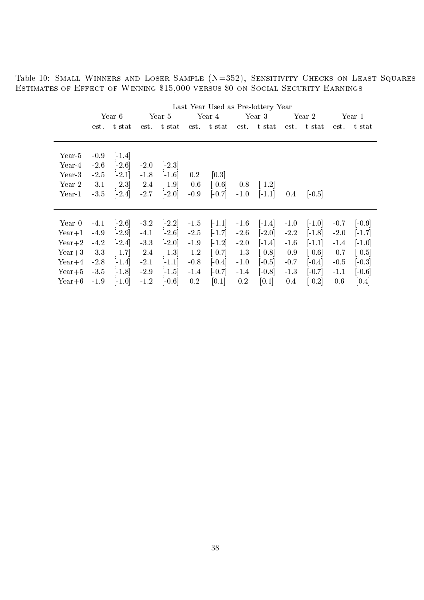Table 10: Small Winners and Loser Sample (N=352), Sensitivity Checks on Least Squares Estimates of Effect of Winning \$15,000 versus \$0 on Social Security Earnings

|          |        |                      |        |                      |         |                     |         | Last Year Used as Pre-lottery Year |         |           |         |                       |
|----------|--------|----------------------|--------|----------------------|---------|---------------------|---------|------------------------------------|---------|-----------|---------|-----------------------|
|          |        | Year-6               |        | Year-5               |         | Year-4              |         | Year-3                             |         | Year-2    |         | Year-1                |
|          | est.   | $t$ -stat            | est.   | $t$ -stat            |         | est. t-stat         |         | est. t-stat                        | est.    | $t$ -stat | est.    | t-stat                |
|          |        |                      |        |                      |         |                     |         |                                    |         |           |         |                       |
| Year-5   | $-0.9$ | $\lceil -1.4 \rceil$ |        |                      |         |                     |         |                                    |         |           |         |                       |
| Year-4   | $-2.6$ | $\lceil 2.6 \rceil$  | $-2.0$ | $\lceil -2.3 \rceil$ |         |                     |         |                                    |         |           |         |                       |
| Year-3   | $-2.5$ | $[-2.1]$             | $-1.8$ | $\lceil 1.6 \rceil$  | $0.2\,$ | [0.3]               |         |                                    |         |           |         |                       |
| Year-2   | $-3.1$ | $\lceil 2.3 \rceil$  | $-2.4$ | $\lceil 1.9 \rceil$  | $-0.6$  | $[-0.6]$            | $-0.8$  | $\lceil -1.2 \rceil$               |         |           |         |                       |
| Year-1   | $-3.5$ | $[-2.4]$             | $-2.7$ | $[-2.0]$             | $-0.9$  | $-0.7$              | $-1.0$  | $[-1.1]$                           | $0.4\,$ | $ -0.5 $  |         |                       |
|          |        |                      |        |                      |         |                     |         |                                    |         |           |         |                       |
| Year 0   | $-4.1$ | $\lceil 2.6 \rceil$  | $-3.2$ | $[-2.2]$             | $-1.5$  | $[-1.1]$            | $-1.6$  | $\lceil -1.4 \rceil$               | $-1.0$  | $[-1.0]$  | $-0.7$  | $\left[-0.9\right]$   |
| $Year+1$ | $-4.9$ | $\left[-2.9\right]$  | $-4.1$ | $\left[-2.6\right]$  | $-2.5$  | $[-1.7]$            | $-2.6$  | $\left[-2.0\right]$                | $-2.2$  | $[-1.8]$  | $-2.0$  | $[-1.7]$              |
| $Year+2$ | $-4.2$ | $[-2.4]$             | $-3.3$ | $[-2.0]$             | $-1.9$  | $-1.2$              | $-2.0$  | $[-1.4]$                           | $-1.6$  | $[-1.1]$  | $-1.4$  | $\left[ -1.0 \right]$ |
| $Year+3$ | $-3.3$ | $[-1.7]$             | $-2.4$ | $[-1.3]$             | $-1.2$  | $[-0.7]$            | $-1.3$  | $[-0.8]$                           | $-0.9$  | $[-0.6]$  | $-0.7$  | $\left[-0.5\right]$   |
| $Year+4$ | $-2.8$ | $[-1.4]$             | $-2.1$ | $[-1.1]$             | $-0.8$  | $\left[-0.4\right]$ | $-1.0$  | $[-0.5]$                           | $-0.7$  | $[-0.4]$  | $-0.5$  | $\left[-0.3\right]$   |
| $Year+5$ | $-3.5$ | $[-1.8]$             | $-2.9$ | $[-1.5]$             | $-1.4$  | $[-0.7]$            | $-1.4$  | $[-0.8]$                           | $-1.3$  | $[-0.7]$  | $-1.1$  | $[-0.6]$              |
| $Year+6$ | $-1.9$ | $[-1.0]$             | $-1.2$ | $[-0.6]$             | 0.2     | [0.1]               | $0.2\,$ | [0.1]                              | 0.4     | 0.2       | $0.6\,$ | [0.4]                 |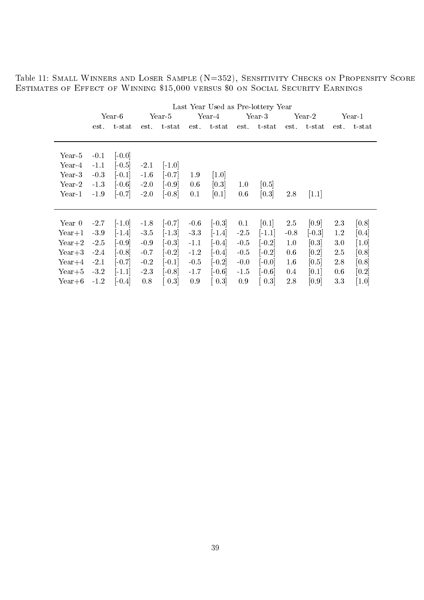Table 11: Small Winners and Loser Sample (N=352), Sensitivity Checks on Propensity Score Estimates of Effect of Winning \$15,000 versus \$0 on Social Security Earnings

|          |        |                     |        |                     |         |                     |         | Last Year Used as Pre-lottery Year |         |           |         |                       |
|----------|--------|---------------------|--------|---------------------|---------|---------------------|---------|------------------------------------|---------|-----------|---------|-----------------------|
|          |        | $Year-6$            |        | Year-5              |         | Year-4              |         | Year-3                             |         | Year-2    |         | Year-1                |
|          | est.   | $t$ -s $tat$        | est.   | t-stat              | est.    | $\text{t-stat}$     | est.    | $\text{t-stat}$                    | est.    | $t$ -stat | est.    | $t$ -s $\mathrm{tat}$ |
|          |        |                     |        |                     |         |                     |         |                                    |         |           |         |                       |
| Year-5   | $-0.1$ | $[-0.0]$            |        |                     |         |                     |         |                                    |         |           |         |                       |
| Year-4   | $-1.1$ | $[-0.5]$            | $-2.1$ | $[-1.0]$            |         |                     |         |                                    |         |           |         |                       |
| $Year-3$ | $-0.3$ | $[-0.1]$            | $-1.6$ | $[-0.7]$            | 1.9     | $\left[1.0\right]$  |         |                                    |         |           |         |                       |
| Year-2   | $-1.3$ | $[-0.6]$            | $-2.0$ | $[-0.9]$            | $0.6\,$ | [0.3]               | $1.0\,$ | $\vert 0.5 \vert$                  |         |           |         |                       |
| Year-1   | $-1.9$ | $\left[-0.7\right]$ | $-2.0$ | $[-0.8]$            | 0.1     | [0.1]               | $0.6\,$ | [0.3]                              | 2.8     | 1.1       |         |                       |
|          |        |                     |        |                     |         |                     |         |                                    |         |           |         |                       |
| Year 0   | $-2.7$ | $[-1.0]$            | $-1.8$ | $[-0.7]$            | $-0.6$  | $\left[-0.3\right]$ | 0.1     | [0.1]                              | 2.5     | [0.9]     | 2.3     | [0.8]                 |
| $Year+1$ | $-3.9$ | $[-1.4]$            | $-3.5$ | $[-1.3]$            | $-3.3$  | $-1.4$              | $-2.5$  | $[-1.1]$                           | $-0.8$  | $[-0.3]$  | 1.2     | [0.4]                 |
| $Year+2$ | $-2.5$ | $[-0.9]$            | $-0.9$ | $[-0.3]$            | $-1.1$  | $[-0.4]$            | $-0.5$  | $[-0.2]$                           | 1.0     | [0.3]     | $3.0\,$ | $\left[1.0\right]$    |
| $Year+3$ | $-2.4$ | $[-0.8]$            | $-0.7$ | $\left[-0.2\right]$ | $-1.2$  | $-0.4$              | $-0.5$  | $\left[-0.2\right]$                | $0.6\,$ | [0.2]     | 2.5     | [0.8]                 |
| $Year+4$ | $-2.1$ | $[-0.7]$            | $-0.2$ | $[-0.1]$            | $-0.5$  | $[-0.2]$            | $-0.0$  | $[-0.0]$                           | $1.6\,$ | [0.5]     | 2.8     | [0.8]                 |
| $Year+5$ | $-3.2$ | $[-1.1]$            | $-2.3$ | $[-0.8]$            | $-1.7$  | $[-0.6]$            | $-1.5$  | $[-0.6]$                           | $0.4\,$ | [0.1]     | $0.6\,$ | [0.2]                 |
| $Year+6$ | $-1.2$ | $\left[-0.4\right]$ | 0.8    | 0.3                 | 0.9     | 0.3                 | 0.9     | 0.3                                | 2.8     | [0.9]     | $3.3\,$ | $\left[1.0\right]$    |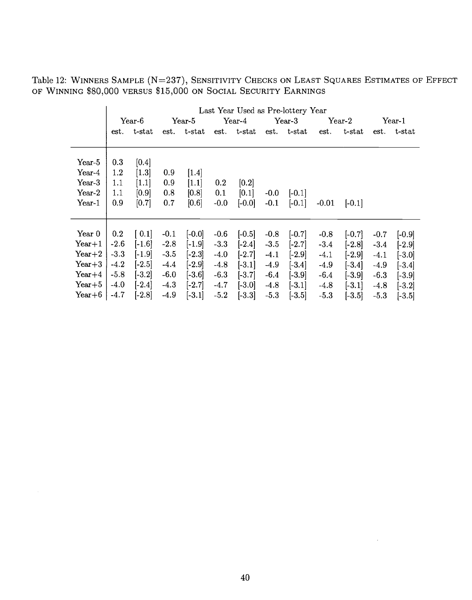Table 12: WINNERS SAMPLE (N=237), SENSITIVITY CHECKS ON LEAST SQUARES ESTIMATES OF EFFECT OF WINNING \$80,000 VERSUS \$15,000 ON SOCIAL SECURITY EARNINGS

|          |        |           |        |                   |         |             |        | Last Year Used as Pre-lottery Year |         |           |        |             |
|----------|--------|-----------|--------|-------------------|---------|-------------|--------|------------------------------------|---------|-----------|--------|-------------|
|          |        | $Year-6$  |        | $Year-5$          |         | Year-4      |        | $Year-3$                           |         | $Year-2$  |        | Year-1      |
|          | est.   | $t$ -stat |        | est. t-stat       |         | est. t-stat |        | est. t-stat                        | est.    | $t$ -stat |        | est. t-stat |
|          |        |           |        |                   |         |             |        |                                    |         |           |        |             |
|          |        |           |        |                   |         |             |        |                                    |         |           |        |             |
| Year-5   | 0.3    | [0.4]     |        |                   |         |             |        |                                    |         |           |        |             |
| Year-4   | 1.2    | $[1.3]$   | 0.9    | $\vert 1.4 \vert$ |         |             |        |                                    |         |           |        |             |
| Year-3   | 1.1    | [1.1]     | 0.9    | [1.1]             | $0.2\,$ | [0.2]       |        |                                    |         |           |        |             |
| $Year-2$ | 1.1    | [0.9]     | 0.8    | [0.8]             | 0.1     | [0.1]       | $-0.0$ | $ -0.1 $                           |         |           |        |             |
| Year-1   | 0.9    | [0.7]     | 0.7    | [0.6]             | $-0.0$  | $[-0.0]$    | $-0.1$ | $[-0.1]$                           | $-0.01$ | $[-0.1]$  |        |             |
|          |        |           |        |                   |         |             |        |                                    |         |           |        |             |
|          |        |           |        |                   |         |             |        |                                    |         |           |        |             |
| Year 0   | 0.2    | [0.1]     | $-0.1$ | $[-0.0]$          | $-0.6$  | $[-0.5]$    | $-0.8$ | $[-0.7]$                           | $-0.8$  | $[-0.7]$  | $-0.7$ | $[-0.9]$    |
| $Year+1$ | $-2.6$ | $[-1.6]$  | $-2.8$ | $[-1.9]$          | $-3.3$  | $[-2.4]$    | $-3.5$ | $[-2.7]$                           | $-3.4$  | $[-2.8]$  | $-3.4$ | $[-2.9]$    |
| $Year+2$ | $-3.3$ | $[-1.9]$  | $-3.5$ | $[-2.3]$          | $-4.0$  | $[-2.7]$    | $-4.1$ | $[-2.9]$                           | $-4.1$  | $[-2.9]$  | $-4.1$ | $[-3.0]$    |
| $Year+3$ | $-4.2$ | $[-2.5]$  | $-4.4$ | $[-2.9]$          | $-4.8$  | $[-3.1]$    | $-4.9$ | $[-3.4]$                           | $-4.9$  | $[-3.4]$  | $-4.9$ | $[-3.4]$    |
| $Year+4$ | $-5.8$ | $[-3.2]$  | $-6.0$ | $[-3.6]$          | $-6.3$  | $[-3.7]$    | $-6.4$ | $[-3.9]$                           | $-6.4$  | $[-3.9]$  | $-6.3$ | $[-3.9]$    |
| $Year+5$ | $-4.0$ | $[-2.4]$  |        |                   |         |             |        |                                    |         |           |        |             |
|          |        |           | $-4.3$ | $[-2.7]$          | $-4.7$  | $[-3.0]$    | $-4.8$ | $[-3.1]$                           | $-4.8$  | $[-3.1]$  | $-4.8$ | $[-3.2]$    |
| $Year+6$ | $-4.7$ | $[-2.8]$  | $-4.9$ | $[-3.1]$          | $-5.2$  | $[-3.3]$    | $-5.3$ | $[-3.5]$                           | $-5.3$  | $[-3.5]$  | $-5.3$ | $[-3.5]$    |

 $\sim 10^7$ 

 $\mathcal{A}^{\mathcal{A}}$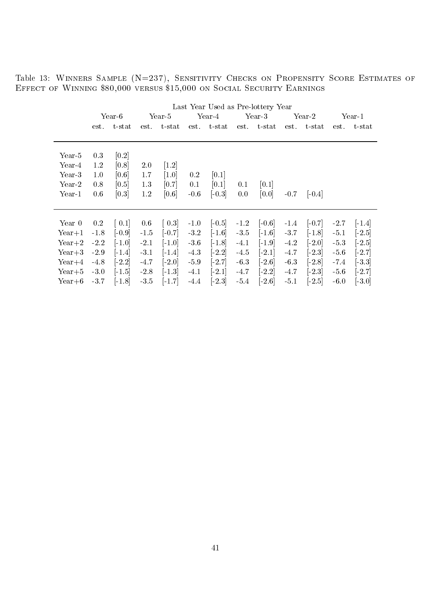Table 13: WINNERS SAMPLE (N=237), SENSITIVITY CHECKS ON PROPENSITY SCORE ESTIMATES OF Effect of Winning \$80,000 versus \$15,000 on Social Security Earnings

| Last Year Used as Pre-lottery Year |                      |                  |                             |         |          |             |                      |        |                     |        |                     |
|------------------------------------|----------------------|------------------|-----------------------------|---------|----------|-------------|----------------------|--------|---------------------|--------|---------------------|
| Year-6                             |                      | Year-4<br>Year-5 |                             | Year-3  |          | Year-2      |                      | Year-1 |                     |        |                     |
| est.                               | $t$ -stat            | est.             | $t$ - $\operatorname{stat}$ |         |          |             | $\text{t-stat}$      | est.   | t-stat              | est.   | t-stat              |
|                                    |                      |                  |                             |         |          |             |                      |        |                     |        |                     |
| 0.3                                | $\left[0.2\right]$   |                  |                             |         |          |             |                      |        |                     |        |                     |
| 1.2                                | [0.8]                | $2.0\,$          | $\vert 1.2 \vert$           |         |          |             |                      |        |                     |        |                     |
| $1.0\,$                            | [0.6]                | 1.7              | $\left[1.0\right]$          | $0.2\,$ | [0.1]    |             |                      |        |                     |        |                     |
| 0.8                                | [0.5]                | 1.3              | [0.7]                       | 0.1     | [0.1]    | 0.1         | [0.1]                |        |                     |        |                     |
| $0.6\,$                            | [0.3]                | 1.2              | [0.6]                       | $-0.6$  | $[-0.3]$ | 0.0         | [0.0]                | $-0.7$ | $[-0.4]$            |        |                     |
|                                    |                      |                  |                             |         |          |             |                      |        |                     |        |                     |
| $0.2\,$                            | $\left[0.1\right]$   | $0.6\,$          | $\left[0.3\right]$          | $-1.0$  | $[-0.5]$ | $-1.2$      | $\left[-0.6\right]$  | $-1.4$ | $\left[-0.7\right]$ | $-2.7$ | $ -1.4 $            |
| $-1.8$                             | $[-0.9]$             | $-1.5$           | $[-0.7]$                    | $-3.2$  | $[-1.6]$ | $-3.5$      | $\lceil -1.6 \rceil$ | $-3.7$ | $[-1.8]$            | $-5.1$ | $\left[-2.5\right]$ |
| $-2.2$                             | $[-1.0]$             | $-2.1$           | $[-1.0]$                    | $-3.6$  | $[-1.8]$ | $-4.1$      | $[-1.9]$             | $-4.2$ | $[-2.0]$            | $-5.3$ | $[-2.5]$            |
| $-2.9$                             | $\lceil -1.4 \rceil$ | $-3.1$           | $[-1.4]$                    | $-4.3$  | $[-2.2]$ | $-4.5$      | $\lceil 2.1 \rceil$  | $-4.7$ | $[-2.3]$            | $-5.6$ | $[-2.7]$            |
| $-4.8$                             | $[-2.2]$             | $-4.7$           | $[-2.0]$                    | $-5.9$  | $[-2.7]$ | $-6.3$      | $\lceil 2.6 \rceil$  | $-6.3$ | $[-2.8]$            | $-7.4$ | $[-3.3]$            |
| $-3.0$                             | $\lceil -1.5 \rceil$ | $-2.8$           | $[-1.3]$                    | $-4.1$  | $[-2.1]$ | $-4.7$      | $[-2.2]$             | $-4.7$ | $[-2.3]$            | $-5.6$ | $[-2.7]$            |
| $-3.7$                             | $[-1.8]$             | $-3.5$           | $[-1.7]$                    | $-4.4$  | $[-2.3]$ | $-5.4$      | $\lceil 2.6 \rceil$  | $-5.1$ | $[-2.5]$            | $-6.0$ | $[-3.0]$            |
|                                    |                      |                  |                             |         |          | est. t-stat |                      | est.   |                     |        |                     |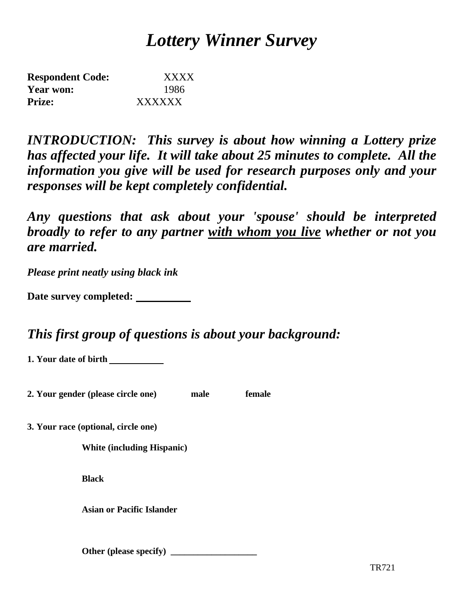# *Lottery Winner Survey*

| <b>Respondent Code:</b> | <b>XXXX</b> |
|-------------------------|-------------|
| Year won:               | 1986        |
| <b>Prize:</b>           | XXXXXX      |

*INTRODUCTION: This survey is about how winning a Lottery prize has affected your life. It will take about 25 minutes to complete. All the information you give will be used for research purposes only and your responses will be kept completely confidential.*

*Any questions that ask about your 'spouse' should be interpreted broadly to refer to any partner with whom you live whether or not you are married.*

*Please print neatly using black ink*

| Date survey completed: |  |
|------------------------|--|
|------------------------|--|

# *This first group of questions is about your background:*

**1. Your date of birth** 

**2. Your gender (please circle one) male female**

**3. Your race (optional, circle one)**

**White (including Hispanic)**

**Black**

**Asian or Pacific Islander**

**Other (please specify) \_\_\_\_\_\_\_\_\_\_\_\_\_\_\_\_\_\_\_**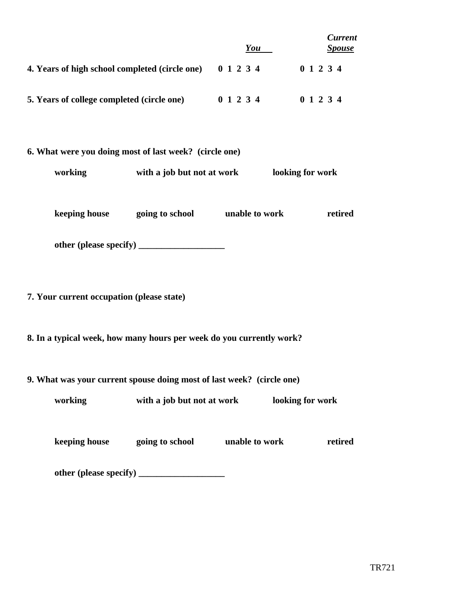|                                                                       |                                                | You | <b>Current</b><br><b>Spouse</b> |  |  |  |  |  |  |
|-----------------------------------------------------------------------|------------------------------------------------|-----|---------------------------------|--|--|--|--|--|--|
| 4. Years of high school completed (circle one) 0 1 2 3 4 0 1 2 3 4    |                                                |     |                                 |  |  |  |  |  |  |
| 5. Years of college completed (circle one) 0 1 2 3 4                  |                                                |     | 0 1 2 3 4                       |  |  |  |  |  |  |
| 6. What were you doing most of last week? (circle one)                |                                                |     |                                 |  |  |  |  |  |  |
| working                                                               | with a job but not at work<br>looking for work |     |                                 |  |  |  |  |  |  |
|                                                                       | keeping house going to school unable to work   |     |                                 |  |  |  |  |  |  |
|                                                                       |                                                |     |                                 |  |  |  |  |  |  |
| 7. Your current occupation (please state)                             |                                                |     |                                 |  |  |  |  |  |  |
| 8. In a typical week, how many hours per week do you currently work?  |                                                |     |                                 |  |  |  |  |  |  |
| 9. What was your current spouse doing most of last week? (circle one) |                                                |     |                                 |  |  |  |  |  |  |
| working                                                               | with a job but not at work                     |     | looking for work                |  |  |  |  |  |  |
|                                                                       | keeping house going to school unable to work   |     | retired                         |  |  |  |  |  |  |
|                                                                       |                                                |     |                                 |  |  |  |  |  |  |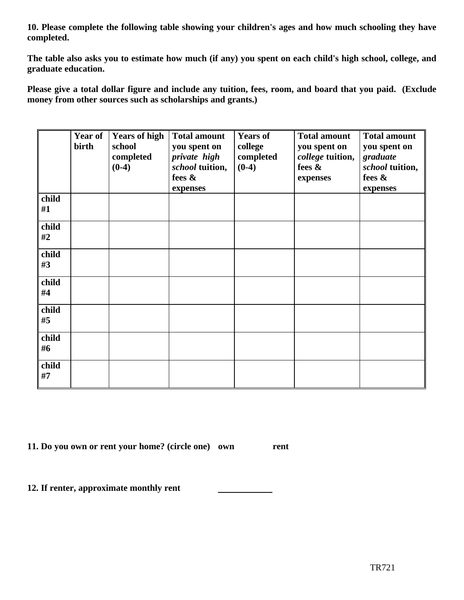**10. Please complete the following table showing your children's ages and how much schooling they have completed.**

**The table also asks you to estimate how much (if any) you spent on each child's high school, college, and graduate education.**

**Please give a total dollar figure and include any tuition, fees, room, and board that you paid. (Exclude money from other sources such as scholarships and grants.)**

|             | birth | Year of Years of high<br>school<br>completed<br>$(0-4)$ | <b>Total amount</b><br>you spent on<br>private high<br>school tuition,<br>fees $\&$<br>expenses | <b>Years of</b><br>college<br>completed<br>$(0-4)$ | <b>Total amount</b><br>you spent on<br>college tuition,<br>fees &<br>expenses | <b>Total amount</b><br>you spent on<br>graduate<br>school tuition,<br>fees &<br>expenses |
|-------------|-------|---------------------------------------------------------|-------------------------------------------------------------------------------------------------|----------------------------------------------------|-------------------------------------------------------------------------------|------------------------------------------------------------------------------------------|
| child<br>#1 |       |                                                         |                                                                                                 |                                                    |                                                                               |                                                                                          |
| child<br>#2 |       |                                                         |                                                                                                 |                                                    |                                                                               |                                                                                          |
| child<br>#3 |       |                                                         |                                                                                                 |                                                    |                                                                               |                                                                                          |
| child<br>#4 |       |                                                         |                                                                                                 |                                                    |                                                                               |                                                                                          |
| child<br>#5 |       |                                                         |                                                                                                 |                                                    |                                                                               |                                                                                          |
| child<br>#6 |       |                                                         |                                                                                                 |                                                    |                                                                               |                                                                                          |
| child<br>#7 |       |                                                         |                                                                                                 |                                                    |                                                                               |                                                                                          |

**11. Do you own or rent your home? (circle one) own rent**

**12. If renter, approximate monthly rent**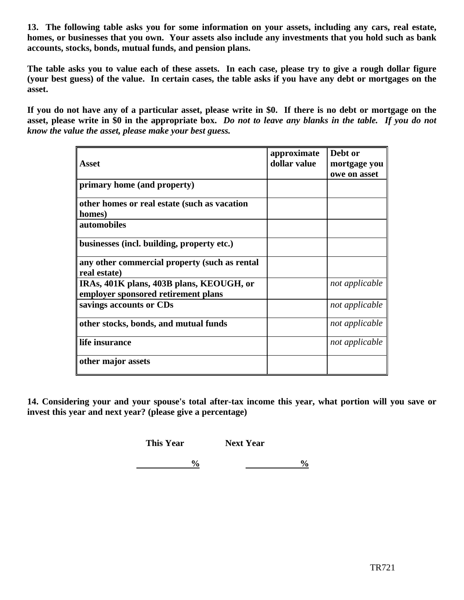**13. The following table asks you for some information on your assets, including any cars, real estate, homes, or businesses that you own. Your assets also include any investments that you hold such as bank accounts, stocks, bonds, mutual funds, and pension plans.**

**The table asks you to value each of these assets. In each case, please try to give a rough dollar figure (your best guess) of the value. In certain cases, the table asks if you have any debt or mortgages on the asset.**

**If you do not have any of a particular asset, please write in \$0. If there is no debt or mortgage on the asset, please write in \$0 in the appropriate box.** *Do not to leave any blanks in the table. If you do not know the value the asset, please make your best guess.*

|                                               | approximate  | Debt or        |
|-----------------------------------------------|--------------|----------------|
| <b>Asset</b>                                  | dollar value | mortgage you   |
|                                               |              | owe on asset   |
| primary home (and property)                   |              |                |
| other homes or real estate (such as vacation  |              |                |
| homes)                                        |              |                |
| automobiles                                   |              |                |
| businesses (incl. building, property etc.)    |              |                |
| any other commercial property (such as rental |              |                |
| real estate)                                  |              |                |
| IRAs, 401K plans, 403B plans, KEOUGH, or      |              | not applicable |
| employer sponsored retirement plans           |              |                |
| savings accounts or CDs                       |              | not applicable |
| other stocks, bonds, and mutual funds         |              | not applicable |
| life insurance                                |              | not applicable |
| other major assets                            |              |                |

**14. Considering your and your spouse's total after-tax income this year, what portion will you save or invest this year and next year? (please give a percentage)**

**This Year Next Year** 

**1**  $\frac{0}{2}$  **1**  $\frac{0}{2}$  **1**  $\frac{0}{2}$  **1**  $\frac{0}{2}$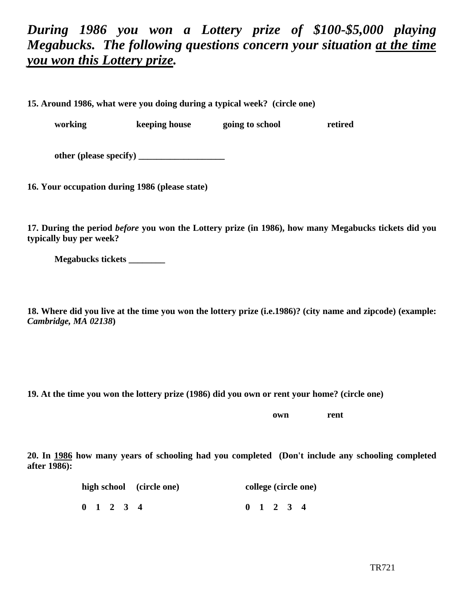# *During 1986 you won a Lottery prize of \$100-\$5,000 playing Megabucks. The following questions concern your situation at the time you won this Lottery prize.*

**15. Around 1986, what were you doing during a typical week? (circle one)**

**working keeping house going to school retired**

**other (please specify) \_\_\_\_\_\_\_\_\_\_\_\_\_\_\_\_\_\_\_**

**16. Your occupation during 1986 (please state)**

**17. During the period** *before* **you won the Lottery prize (in 1986), how many Megabucks tickets did you typically buy per week?**

**Megabucks tickets \_\_\_\_\_\_\_\_**

**18. Where did you live at the time you won the lottery prize (i.e.1986)? (city name and zipcode) (example:** *Cambridge, MA 02138***)**

**19. At the time you won the lottery prize (1986) did you own or rent your home? (circle one)**

**own rent**

**20. In 1986 how many years of schooling had you completed (Don't include any schooling completed after 1986):**

| high school (circle one) |  |  |                     |  | college (circle one) |                     |  |  |  |  |
|--------------------------|--|--|---------------------|--|----------------------|---------------------|--|--|--|--|
|                          |  |  | $0 \t1 \t2 \t3 \t4$ |  |                      | $0 \t1 \t2 \t3 \t4$ |  |  |  |  |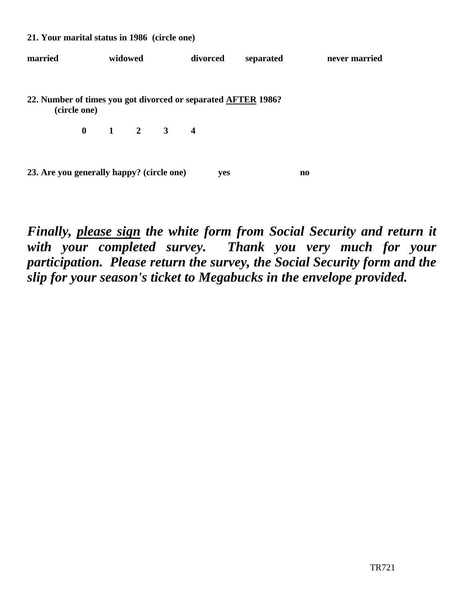| married                                                       | widowed      |  | divorced                                |  | separated |     | never married |                        |  |  |
|---------------------------------------------------------------|--------------|--|-----------------------------------------|--|-----------|-----|---------------|------------------------|--|--|
| 22. Number of times you got divorced or separated AFTER 1986? | (circle one) |  |                                         |  |           |     |               |                        |  |  |
|                                                               |              |  | $0 \qquad 1 \qquad 2 \qquad 3 \qquad 4$ |  |           |     |               |                        |  |  |
| 23. Are you generally happy? (circle one)                     |              |  |                                         |  |           | yes |               | $\mathbf{n}\mathbf{o}$ |  |  |

**21. Your marital status in 1986 (circle one)**

*Finally, please sign the white form from Social Security and return it with your completed survey. Thank you very much for your participation. Please return the survey, the Social Security form and the slip for your season's ticket to Megabucks in the envelope provided.*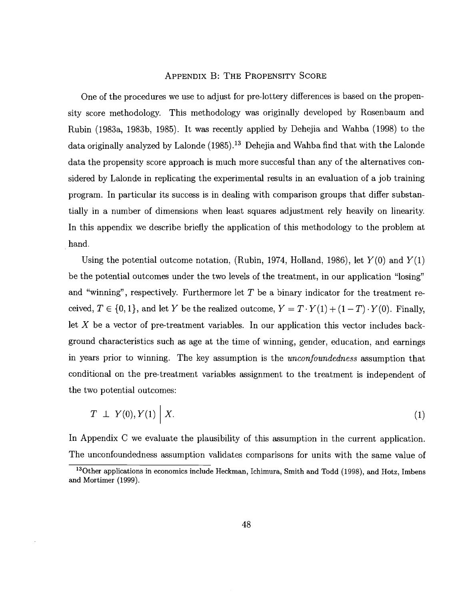#### APPENDIX B: THE PROPENSITY SCORE

One of the procedures we use to adjust for pre-lottery differences is based on the propensity score methodology. This methodology was originally developed by Rosenbaum and Rubin (1983a, 1983b, 1985). It was recently applied by Dehejia and Wahba (1998) to the data originally analyzed by Lalonde  $(1985)$ .<sup>13</sup> Dehejia and Wahba find that with the Lalonde data the propensity score approach is much more succesful than any of the alternatives considered by Lalonde in replicating the experimental results in an evaluation of a job training program. In particular its success is in dealing with comparison groups that differ substantially in a number of dimensions when least squares adjustment rely heavily on linearity. In this appendix we describe briefly the application of this methodology to the problem at hand.

Using the potential outcome notation, (Rubin, 1974, Holland, 1986), let  $Y(0)$  and  $Y(1)$ be the potential outcomes under the two levels of the treatment, in our application "losing" and "winning", respectively. Furthermore let  $T$  be a binary indicator for the treatment received,  $T \in \{0, 1\}$ , and let Y be the realized outcome,  $Y = T \cdot Y(1) + (1 - T) \cdot Y(0)$ . Finally, let X be a vector of pre-treatment variables. In our application this vector includes background characteristics such as age at the time of winning, gender, education, and earnings in years prior to winning. The key assumption is the *unconfoundedness* assumption that conditional on the pre-treatment variables assignment to the treatment is independent of the two potential outcomes:

$$
T \perp Y(0), Y(1) \mid X. \tag{1}
$$

In Appendix C we evaluate the plausibility of this assumption in the current application. The unconfoundedness assumption validates comparisons for units with the same value of

<sup>&</sup>lt;sup>13</sup>Other applications in economics include Heckman, Ichimura, Smith and Todd (1998), and Hotz, Imbens and Mortimer (1999).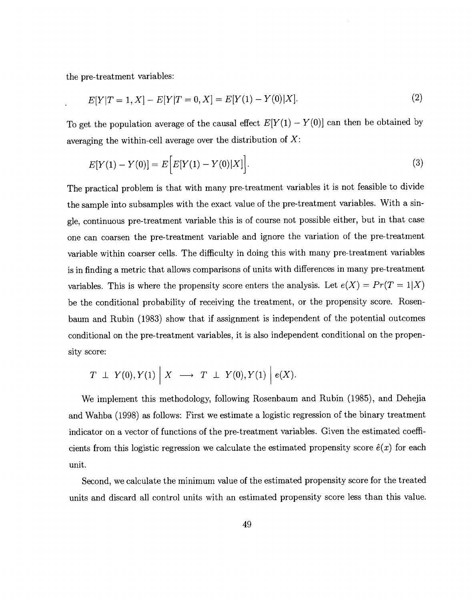the pre-treatment variables:

$$
E[Y|T=1, X] - E[Y|T=0, X] = E[Y(1) - Y(0)|X].
$$
\n(2)

To get the population average of the causal effect  $E[Y(1) - Y(0)]$  can then be obtained by averaging the within-cell average over the distribution of  $X$ :

$$
E[Y(1) - Y(0)] = E\Big[E[Y(1) - Y(0)|X]\Big].
$$
\n(3)

The practical problem is that with many pre-treatment variables it is not feasible to divide the sample into subsamples with the exact value of the pre-treatment variables. With a single, continuous pre-treatment variable this is of course not possible either, but in that case one can coarsen the pre-treatment variable and ignore the variation of the pre-treatment variable within coarser cells. The difficulty in doing this with many pre-treatment variables is in finding a metric that allows comparisons of units with differences in many pre-treatment variables. This is where the propensity score enters the analysis. Let  $e(X) = Pr(T = 1|X)$ be the conditional probability of receiving the treatment, or the propensity score. Rosenbaum and Rubin (1983) show that if assignment is independent of the potential outcomes conditional on the pre-treatment variables, it is also independent conditional on the propensity score:

$$
T~\perp~ Y(0), Y(1)~\Big|~X~\longrightarrow~T~\perp~ Y(0), Y(1)~\Big|~e(X).
$$

We implement this methodology, following Rosenbaum and Rubin (1985), and Dehejia and Wahba (1998) as follows: First we estimate a logistic regression of the binary treatment indicator on a vector of functions of the pre-treatment variables. Given the estimated coefficients from this logistic regression we calculate the estimated propensity score  $\hat{e}(x)$  for each unit.

Second, we calculate the minimum value of the estimated propensity score for the treated units and discard all control units with an estimated propensity score less than this value.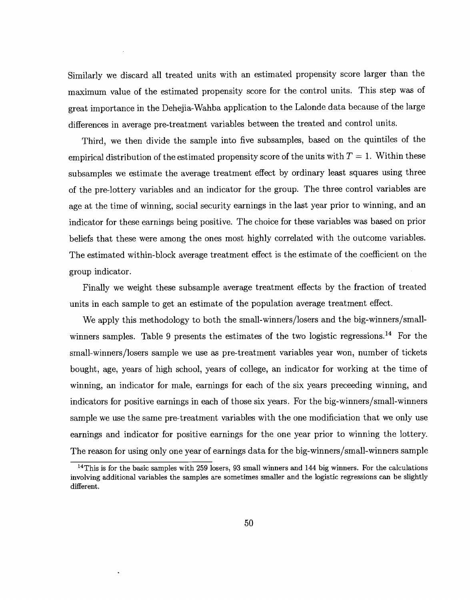Similarly we discard all treated units with an estimated propensity score larger than the maximum value of the estimated propensity score for the control units. This step was of great importance in the Dehejia-Wahba application to the Lalonde data because of the large differences in average pre-treatment variables between the treated and control units.

Third, we then divide the sample into five subsamples, based on the quintiles of the empirical distribution of the estimated propensity score of the units with  $T = 1$ . Within these subsamples we estimate the average treatment effect by ordinary least squares using three of the pre-lottery variables and an indicator for the group. The three control variables are age at the time of winning, social security earnings in the last year prior to winning, and an indicator for these earnings being positive. The choice for these variables was based on prior beliefs that these were among the ones most highly correlated with the outcome variables. The estimated within-block average treatment effect is the estimate of the coefficient on the group indicator.

Finally we weight these subsample average treatment effects by the fraction of treated units in each sample to get an estimate of the population average treatment effect.

We apply this methodology to both the small-winners/losers and the big-winners/smallwinners samples. Table 9 presents the estimates of the two logistic regressions.<sup>14</sup> For the small-winners/losers sample we use as pre-treatment variables year won, number of tickets bought, age, years of high school, years of college, an indicator for working at the time of winning, an indicator for male, earnings for each of the six years preceeding winning, and indicators for positive earnings in each of those six years. For the big-winners/small-winners sample we use the same pre-treatment variables with the one modificiation that we only use earnings and indicator for positive earnings for the one year prior to winning the lottery. The reason for using only one year of earnings data for the big-winners/small-winners sample

 $14$ This is for the basic samples with 259 losers, 93 small winners and 144 big winners. For the calculations involving additional variables the samples are sometimes smaller and the logistic regressions can be slightly different.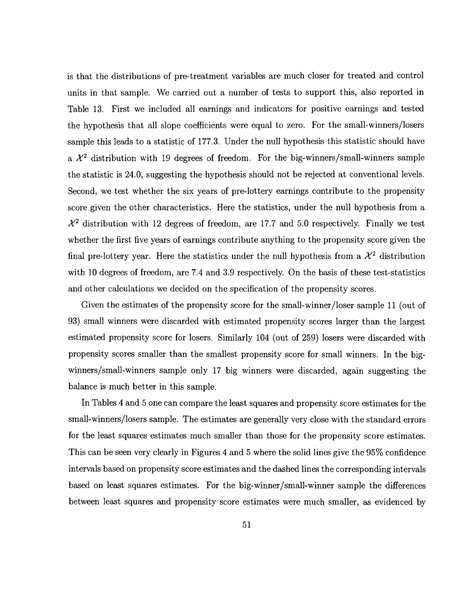is that the distributions of pre-treatment variables are much closer for treated and control units in that sample. We carried out a number of tests to support this, also reported in Table 13. First we included all earnings and indicators for positive earnings and tested the hypothesis that all slope coefficients were equal to zero. For the small-winners/losers sample this leads to a statistic of 177.3. Under the null hypothesis this statistic should have a  $\mathcal{X}^2$  distribution with 19 degrees of freedom. For the big-winners/small-winners sample the statistic is 24.0, suggesting the hypothesis should not be rejected at conventional levels. Second, we test whether the six years of pre-lottery earnings contribute to the propensity score given the other characteristics. Here the statistics, under the null hypothesis from a  $\mathcal{X}^2$  distribution with 12 degrees of freedom, are 17.7 and 5.0 respectively. Finally we test whether the first five years of earnings contribute anything to the propensity score given the final pre-lottery year. Here the statistics under the null hypothesis from a  $\mathcal{X}^2$  distribution with 10 degrees of freedom, are 7.4 and 3.9 respectively. On the basis of these test-statistics and other calculations we decided on the specification of the propensity scores.

Given the estimates of the propensity score for the small-winner/loser sample 11 (out of 93) small winners were discarded with estimated propensity scores larger than the largest estimated propensity score for losers. Similarly 104 (out of 259) losers were discarded with propensity scores smaller than the smallest propensity score for small winners. In the bigwinners/small-winners sample only 17 big winners were discarded, again suggesting the balance is much better in this sample.

In Tables 4 and 5 one can compare the least squares and propensity score estimates for the small-winners/losers sample. The estimates are generally very close with the standard errors for the least squares estimates much smaller than those for the propensity score estimates. This can be seen very clearly in Figures 4 and 5 where the solid lines give the 95% confidence intervals based on propensity score estimates and the dashed lines the corresponding intervals based on least squares estimates. For the big-winner/small-winner sample the differences between least squares and propensity score estimates were much smaller, as evidenced by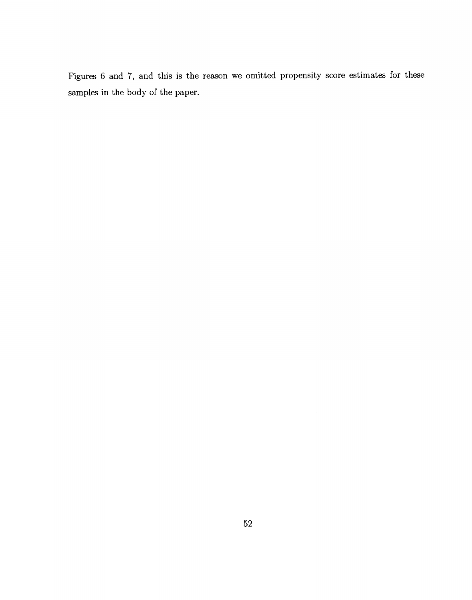Figures 6 and 7, and this is the reason we omitted propensity score estimates for these samples in the body of the paper.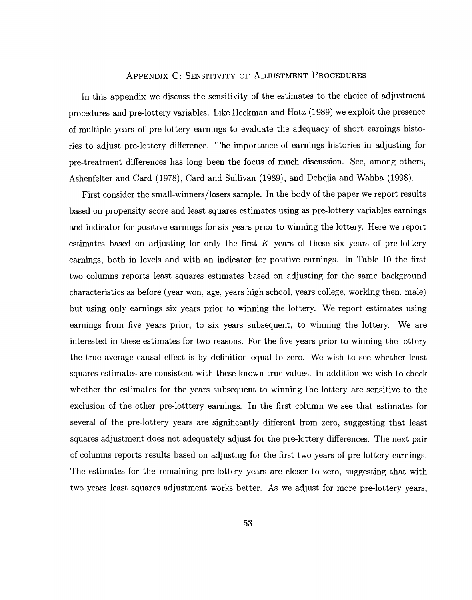# APPENDIX C: SENSITIVITY OF ADJUSTMENT PROCEDURES

In this appendix we discuss the sensitivity of the estimates to the choice of adjustment procedures and pre-lottery variables. Like Heckman and Hotz (1989) we exploit the presence of multiple years of pre-lottery earnings to evaluate the adequacy of short earnings histories to adjust pre-lottery difference. The importance of earnings histories in adjusting for pre-treatment differences has long been the focus of much discussion. See, among others, Ashenfelter and Card (1978), Card and Sullivan (1989), and Dehejia and Wahba (1998).

First consider the small-winners/losers sample. In the body of the paper we report results based on propensity score and least squares estimates using as pre-lottery variables earnings and indicator for positive earnings for six years prior to winning the lottery. Here we report estimates based on adjusting for only the first  $K$  years of these six years of pre-lottery earnings, both in levels and with an indicator for positive earnings. In Table 10 the first two columns reports least squares estimates based on adjusting for the same background characteristics as before (year won, age, years high school, years college, working then, male) but using only earnings six years prior to winning the lottery. We report estimates using earnings from five years prior, to six years subsequent, to winning the lottery. We are interested in these estimates for two reasons. For the five years prior to winning the lottery the true average causal effect is by definition equal to zero. We wish to see whether least squares estimates are consistent with these known true values. In addition we wish to check whether the estimates for the years subsequent to winning the lottery are sensitive to the exclusion of the other pre-lotttery earnings. In the first column we see that estimates for several of the pre-lottery years are significantly different from zero, suggesting that least squares adjustment does not adequately adjust for the pre-lottery differences. The next pair of columns reports results based on adjusting for the first two years of pre-lottery earnings. The estimates for the remaining pre-lottery years are closer to zero, suggesting that with two years least squares adjustment works better. As we adjust for more pre-lottery years,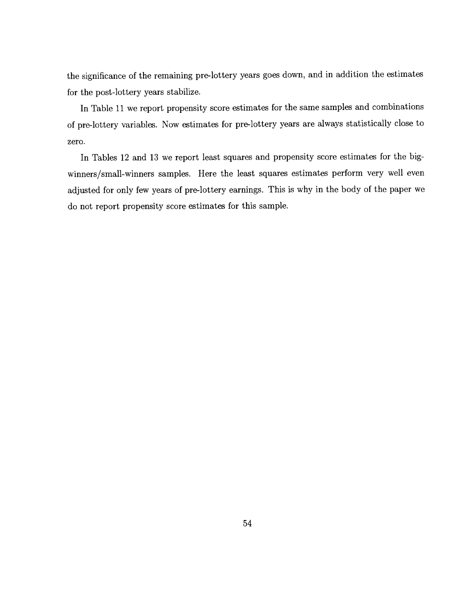the significance of the remaining pre-lottery years goes down, and in addition the estimates for the post-lottery years stabilize.

In Table 11 we report propensity score estimates for the same samples and combinations of pre-lottery variables. Now estimates for pre-lottery years are always statistically close to zero.

In Tables 12 and 13 we report least squares and propensity score estimates for the bigwinners/small-winners samples. Here the least squares estimates perform very well even adjusted for only few years of pre-lottery earnings. This is why in the body of the paper we do not report propensity score estimates for this sample.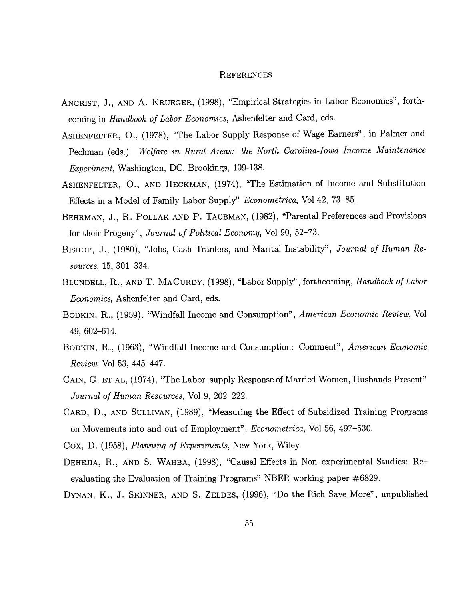#### **REFERENCES**

- ANGRIST, J., AND A. KRUEGER, (1998), "Empirical Strategies in Labor Economics", forthcoming in Handbook of Labor Economics, Ashenfelter and Card, eds.
- ASHENFELTER, 0., (1978), "The Labor Supply Response of Wage Earners", in Palmer and Pechman (eds.) Welfare in Rural Areas: the North Carolina-Iowa Income Maintenance Experiment, Washington, DC, Brookings, 109-138.
- ASHENFELTER, 0., AND HECKMAN, (1974), "The Estimation of Income and Substitution Effects in a Model of Family Labor Supply" Econometrica, Vol 42, 73—85.
- BEHRMAN, J., R. POLLAK AND P. TAUBMAN, (1982), "Parental Preferences and Provisions for their Progeny", Journal of Political Economy, Vol 90, 52—73.
- BIsHoP, J., (1980), "Jobs, Cash Tranfers, and Marital Instability", Journal of Human Resources,  $15, 301 - 334$ .
- BLUNDELL, R., AND T. MACuRDY, (1998), "Labor Supply", forthcoming, Handbook of Labor Economics, Ashenfelter and Card, eds.
- BODKIN, R., (1959), "Windfall Income and Consumption", American Economic Review, Vol 49, 602—614.
- BODKIN, R., (1963), "Windfall Income and Consumption: Comment", American Economic Review, Vol 53, 445—447.
- CAIN, G. ET AL, (1974), "The Labor—supply Response of Married Women, Husbands Present" Journal of Human Resources, Vol 9, 202—222.
- CARD, D., AND SULLIVAN, (1989), "Measuring the Effect of Subsidized Training Programs on Movements into and out of Employment", Econometrica, Vol 56, 497—530.
- Cox, D. (1958), Planning of Experiments, New York, Wiley.
- DEHEJIA, R., AND S. WAHBA, (1998), "Causal Effects in Non—experimental Studies: Reevaluating the Evaluation of Training Programs" NBER working paper #6829.
- DYNAN, K., J. SKINNER, AND S. ZELDES, (1996), "Do the Rich Save More", unpublished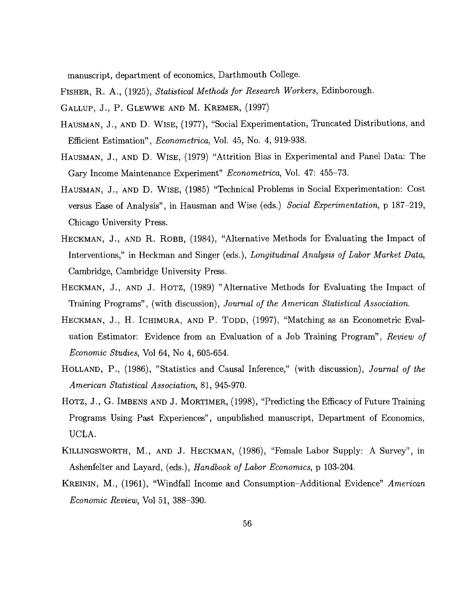manuscript, department of economics, Darthmouth College.

FISHER, R. A., (1925), Statistical Methods for Research Workers, Edinborough.

- GALLUP, J., P. GLEWWE AND M. KREMER, (1997)
- HAUSMAN, J., AND D. WISE, (1977), "Social Experimentation, Truncated Distributions, and Efficient Estimation", Econometrica, Vol. 45, No. 4, 919-938.
- HAUSMAN, J., AND D. WISE, (1979) "Attrition Bias in Experimental and Panel Data: The Gary Income Maintenance Experiment" Econometrica, Vol. 47: 455—73.
- HAUSMAN, J., AND D. WIsE, (1985) "Technical Problems in Social Experimentation: Cost versus Ease of Analysis", in Hausman and Wise (eds.) Social Experimentation, p 187—219, Chicago University Press.
- HECKMAN, J., AND R. ROBB, (1984), "Alternative Methods for Evaluating the Impact of Interventions," in Heckman and Singer (eds.), *Longitudinal Analysis of Labor Market Data*, Cambridge, Cambridge University Press.
- HECKMAN, J., AND J. HOTZ, (1989) "Alternative Methods for Evaluating the Impact of Training Programs", (with discussion), Journal of the American Statistical Association.
- HECKMAN, J., H. ICHIMURA, AND P. TODD, (1997), "Matching as an Econometric Evaluation Estimator: Evidence from an Evaluation of a Job Training Program", Review of Economic Studies, Vol 64, No 4, 605-654.
- HOLLAND, P., (1986), "Statistics and Causal Inference," (with discussion), Journal of the American Statistical Association, 81, 945-970.
- HOTZ, J., G. IMBENS AND J. MORTIMER, (1998), "Predicting the Efficacy of Future Training Programs Using Past Experiences", unpublished manuscript, Department of Economics, UCLA.
- KILLINGSWORTH, M., AND J. HECKMAN, (1986), "Female Labor Supply: A Survey", in Ashenfelter and Layard, (eds.), *Handbook of Labor Economics*, p 103-204.
- KREININ, M., (1961), "Windfall Income and Consumption—Additional Evidence" American Economic Review, Vol 51, 388—390.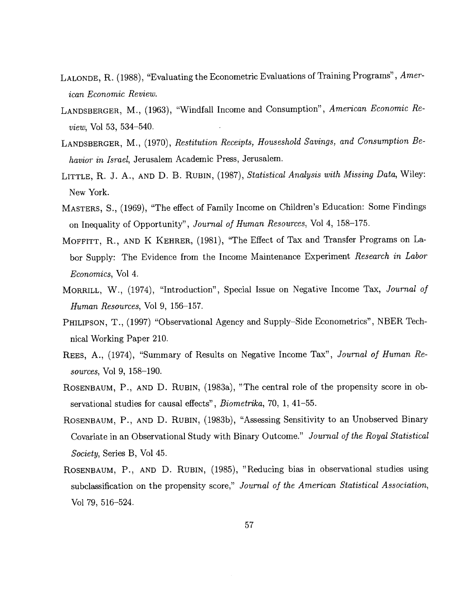- LALONDE, R. (1988), "Evaluating the Econometric Evaluations of Training Programs", American Economic Review.
- LANDSBERGER, M., (1963), "Windfall Income and Consumption", American Economic Review, Vol 53, 534—540.
- LANDSBERGER, M., (1970), Restitution Receipts, Houseshold Savings, and Consumption Behavior in Israel, Jerusalem Academic Press, Jerusalem.
- LITTLE, R. J. A., AND D. B. RUBIN, (1987), Statistical Analysis with Missing Data, Wiley: New York.
- MASTERS, S., (1969), "The effect of Family Income on Children's Education: Some Findings on Inequality of Opportunity", Journal of Human Resources, Vol 4, 158—175.
- MOFFITT, R., AND K KEHRER, (1981), "The Effect of Tax and Transfer Programs on Labor Supply: The Evidence from the Income Maintenance Experiment Research in Labor Economics, Vol 4.
- MORRILL, W., (1974), "Introduction", Special Issue on Negative Income Tax, Journal of Human Resources, Vol 9, 156—157.
- PHILIPSON, T., (1997) "Observational Agency and Supply–Side Econometrics", NBER Technical Working Paper 210.
- REES, A., (1974), "Summary of Results on Negative Income Tax", Journal of Human Resources, Vol 9, 158—190.
- ROSENBAUM, P., AND D. RUBIN, (1983a), "The central role of the propensity score in observational studies for causal effects", Biometrika, 70, 1, 41—55.
- ROSENBAUM, P., AND D. RUBIN, (1983b), "Assessing Sensitivity to an Unobserved Binary Covariate in an Observational Study with Binary Outcome." Journal of the Royal Statistical Society, Series B, Vol 45.
- ROSENBAUM, P., AND D. RUBIN, (1985), "Reducing bias in observational studies using subclassification on the propensity score," Journal of the American Statistical Association, Vol 79, 516—524.